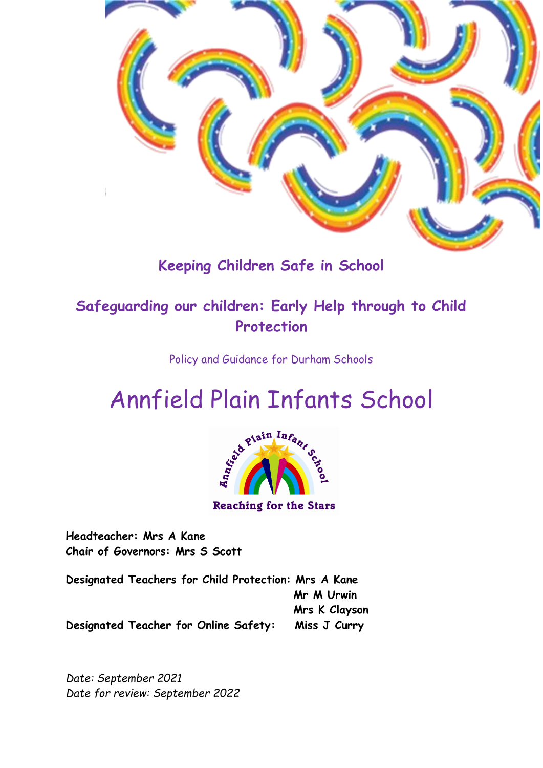

# **Keeping Children Safe in School**

# **Safeguarding our children: Early Help through to Child Protection**

Policy and Guidance for Durham Schools



**Headteacher: Mrs A Kane Chair of Governors: Mrs S Scott**

**Designated Teachers for Child Protection: Mrs A Kane Mr M Urwin Mrs K Clayson Designated Teacher for Online Safety: Miss J Curry**

*Date: September 2021 Date for review: September 2022*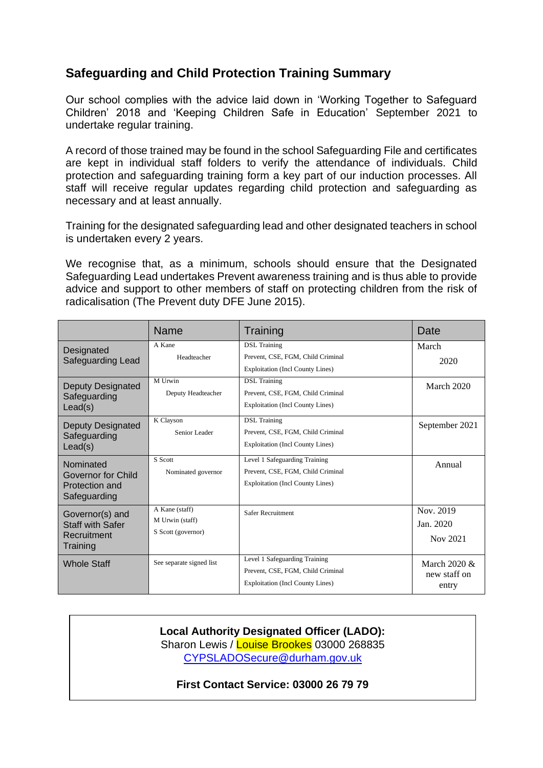### **Safeguarding and Child Protection Training Summary**

Our school complies with the advice laid down in 'Working Together to Safeguard Children' 2018 and 'Keeping Children Safe in Education' September 2021 to undertake regular training.

A record of those trained may be found in the school Safeguarding File and certificates are kept in individual staff folders to verify the attendance of individuals. Child protection and safeguarding training form a key part of our induction processes. All staff will receive regular updates regarding child protection and safeguarding as necessary and at least annually.

Training for the designated safeguarding lead and other designated teachers in school is undertaken every 2 years.

We recognise that, as a minimum, schools should ensure that the Designated Safeguarding Lead undertakes Prevent awareness training and is thus able to provide advice and support to other members of staff on protecting children from the risk of radicalisation (The Prevent duty DFE June 2015).

|                                                                       | <b>Name</b>                                             | Training                                                                                                      | Date                                     |
|-----------------------------------------------------------------------|---------------------------------------------------------|---------------------------------------------------------------------------------------------------------------|------------------------------------------|
| Designated<br>Safeguarding Lead                                       | A Kane<br>Headteacher                                   | <b>DSL</b> Training<br>Prevent, CSE, FGM, Child Criminal<br><b>Exploitation (Incl County Lines)</b>           | March<br>2020                            |
| <b>Deputy Designated</b><br>Safeguarding<br>Lead(s)                   | M Urwin<br>Deputy Headteacher                           | <b>DSL</b> Training<br>Prevent, CSE, FGM, Child Criminal<br><b>Exploitation (Incl County Lines)</b>           | March 2020                               |
| <b>Deputy Designated</b><br>Safeguarding<br>Lead(s)                   | K Clayson<br>Senior Leader                              | <b>DSL</b> Training<br>Prevent, CSE, FGM, Child Criminal<br><b>Exploitation (Incl County Lines)</b>           | September 2021                           |
| Nominated<br>Governor for Child<br>Protection and<br>Safeguarding     | S Scott<br>Nominated governor                           | Level 1 Safeguarding Training<br>Prevent, CSE, FGM, Child Criminal<br><b>Exploitation (Incl County Lines)</b> | Annual                                   |
| Governor(s) and<br><b>Staff with Safer</b><br>Recruitment<br>Training | A Kane (staff)<br>M Urwin (staff)<br>S Scott (governor) | Safer Recruitment                                                                                             | Nov. 2019<br>Jan. 2020<br>Nov 2021       |
| <b>Whole Staff</b>                                                    | See separate signed list                                | Level 1 Safeguarding Training<br>Prevent, CSE, FGM, Child Criminal<br><b>Exploitation (Incl County Lines)</b> | March $2020 \&$<br>new staff on<br>entry |

**Local Authority Designated Officer (LADO):** Sharon Lewis / Louise Brookes 03000 268835 CYPSLADOSecure@durham.gov.uk

**First Contact Service: 03000 26 79 79**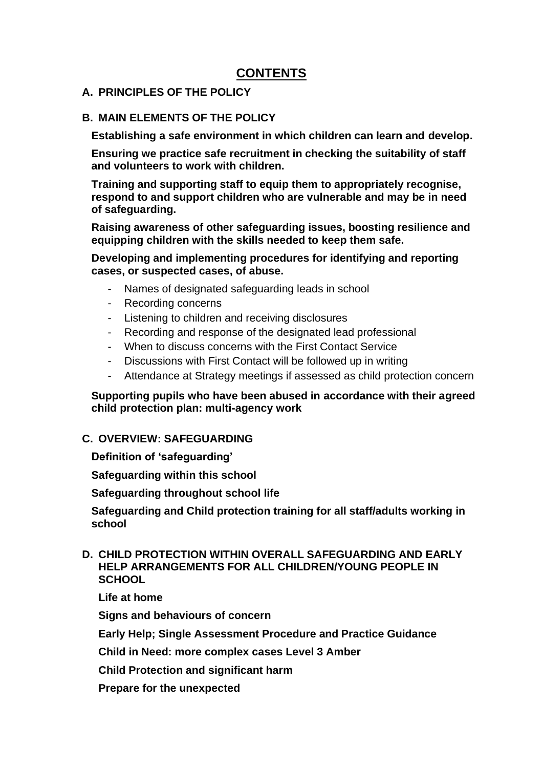### **CONTENTS**

#### **A. PRINCIPLES OF THE POLICY**

#### **B. MAIN ELEMENTS OF THE POLICY**

**Establishing a safe environment in which children can learn and develop.**

**Ensuring we practice safe recruitment in checking the suitability of staff and volunteers to work with children.**

**Training and supporting staff to equip them to appropriately recognise, respond to and support children who are vulnerable and may be in need of safeguarding.**

**Raising awareness of other safeguarding issues, boosting resilience and equipping children with the skills needed to keep them safe.**

**Developing and implementing procedures for identifying and reporting cases, or suspected cases, of abuse.**

- Names of designated safeguarding leads in school
- Recording concerns
- Listening to children and receiving disclosures
- Recording and response of the designated lead professional
- When to discuss concerns with the First Contact Service
- Discussions with First Contact will be followed up in writing
- Attendance at Strategy meetings if assessed as child protection concern

#### **Supporting pupils who have been abused in accordance with their agreed child protection plan: multi-agency work**

#### **C. OVERVIEW: SAFEGUARDING**

**Definition of 'safeguarding'**

**Safeguarding within this school**

**Safeguarding throughout school life**

**Safeguarding and Child protection training for all staff/adults working in school**

#### **D. CHILD PROTECTION WITHIN OVERALL SAFEGUARDING AND EARLY HELP ARRANGEMENTS FOR ALL CHILDREN/YOUNG PEOPLE IN SCHOOL**

**Life at home**

**Signs and behaviours of concern**

**Early Help; Single Assessment Procedure and Practice Guidance**

**Child in Need: more complex cases Level 3 Amber**

**Child Protection and significant harm**

**Prepare for the unexpected**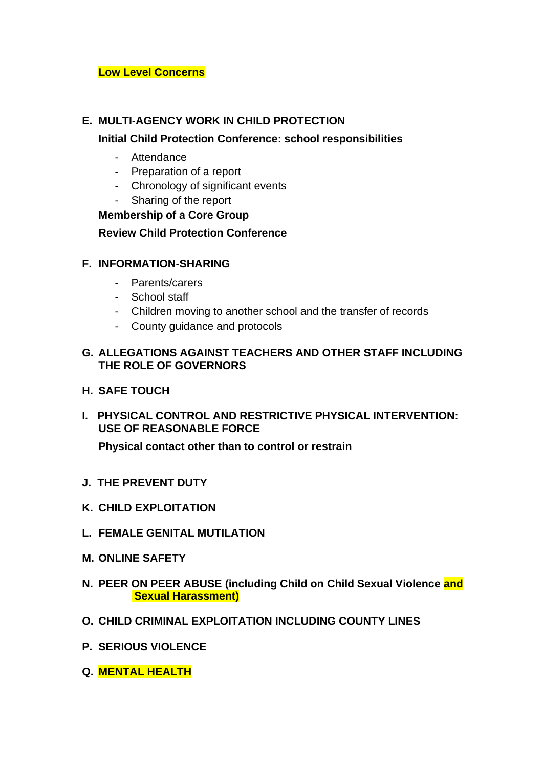#### **Low Level Concerns**

#### **E. MULTI-AGENCY WORK IN CHILD PROTECTION**

#### **Initial Child Protection Conference: school responsibilities**

- Attendance
- Preparation of a report
- Chronology of significant events
- Sharing of the report

#### **Membership of a Core Group**

#### **Review Child Protection Conference**

#### **F. INFORMATION-SHARING**

- Parents/carers
- School staff
- Children moving to another school and the transfer of records
- County guidance and protocols

#### **G. ALLEGATIONS AGAINST TEACHERS AND OTHER STAFF INCLUDING THE ROLE OF GOVERNORS**

- **H. SAFE TOUCH**
- **I. PHYSICAL CONTROL AND RESTRICTIVE PHYSICAL INTERVENTION: USE OF REASONABLE FORCE**

**Physical contact other than to control or restrain**

- **J. THE PREVENT DUTY**
- **K. CHILD EXPLOITATION**
- **L. FEMALE GENITAL MUTILATION**
- **M. ONLINE SAFETY**
- **N. PEER ON PEER ABUSE (including Child on Child Sexual Violence and Sexual Harassment)**
- **O. CHILD CRIMINAL EXPLOITATION INCLUDING COUNTY LINES**
- **P. SERIOUS VIOLENCE**
- **Q. MENTAL HEALTH**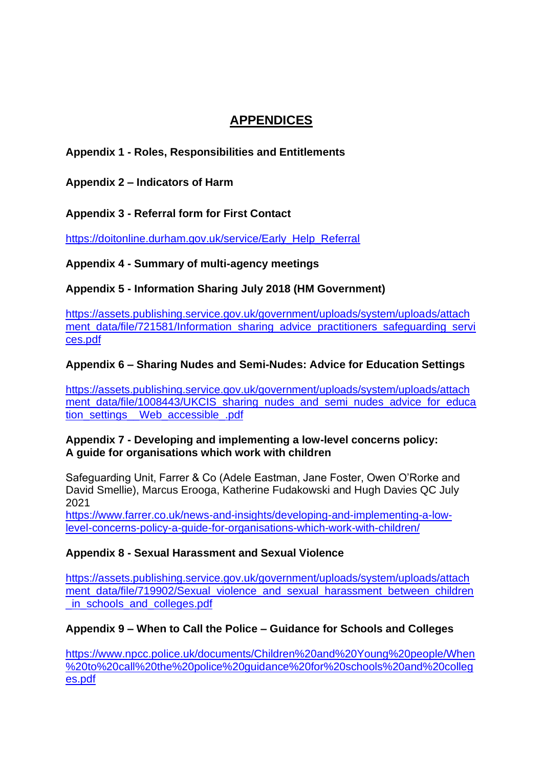### **APPENDICES**

### **Appendix 1 - Roles, Responsibilities and Entitlements**

**Appendix 2 – Indicators of Harm**

**Appendix 3 - Referral form for First Contact**

[https://doitonline.durham.gov.uk/service/Early\\_Help\\_Referral](https://doitonline.durham.gov.uk/service/Early_Help_Referral)

**Appendix 4 - Summary of multi-agency meetings**

**Appendix 5 - Information Sharing July 2018 (HM Government)**

[https://assets.publishing.service.gov.uk/government/uploads/system/uploads/attach](https://assets.publishing.service.gov.uk/government/uploads/system/uploads/attachment_data/file/721581/Information_sharing_advice_practitioners_safeguarding_services.pdf) ment data/file/721581/Information\_sharing\_advice\_practitioners\_safeguarding\_servi [ces.pdf](https://assets.publishing.service.gov.uk/government/uploads/system/uploads/attachment_data/file/721581/Information_sharing_advice_practitioners_safeguarding_services.pdf)

#### **Appendix 6 – Sharing Nudes and Semi-Nudes: Advice for Education Settings**

[https://assets.publishing.service.gov.uk/government/uploads/system/uploads/attach](https://assets.publishing.service.gov.uk/government/uploads/system/uploads/attachment_data/file/1008443/UKCIS_sharing_nudes_and_semi_nudes_advice_for_education_settings__Web_accessible_.pdf) [ment\\_data/file/1008443/UKCIS\\_sharing\\_nudes\\_and\\_semi\\_nudes\\_advice\\_for\\_educa](https://assets.publishing.service.gov.uk/government/uploads/system/uploads/attachment_data/file/1008443/UKCIS_sharing_nudes_and_semi_nudes_advice_for_education_settings__Web_accessible_.pdf) [tion\\_settings\\_\\_Web\\_accessible\\_.pdf](https://assets.publishing.service.gov.uk/government/uploads/system/uploads/attachment_data/file/1008443/UKCIS_sharing_nudes_and_semi_nudes_advice_for_education_settings__Web_accessible_.pdf)

#### **Appendix 7 - Developing and implementing a low-level concerns policy: A guide for organisations which work with children**

Safeguarding Unit, Farrer & Co (Adele Eastman, Jane Foster, Owen O'Rorke and David Smellie), Marcus Erooga, Katherine Fudakowski and Hugh Davies QC July 2021

[https://www.farrer.co.uk/news-and-insights/developing-and-implementing-a-low](https://www.farrer.co.uk/news-and-insights/developing-and-implementing-a-low-level-concerns-policy-a-guide-for-organisations-which-work-with-children/)[level-concerns-policy-a-guide-for-organisations-which-work-with-children/](https://www.farrer.co.uk/news-and-insights/developing-and-implementing-a-low-level-concerns-policy-a-guide-for-organisations-which-work-with-children/)

#### **Appendix 8 - Sexual Harassment and Sexual Violence**

[https://assets.publishing.service.gov.uk/government/uploads/system/uploads/attach](https://assets.publishing.service.gov.uk/government/uploads/system/uploads/attachment_data/file/719902/Sexual_violence_and_sexual_harassment_between_children_in_schools_and_colleges.pdf) ment data/file/719902/Sexual\_violence\_and\_sexual\_harassment\_between\_children in\_schools\_and\_colleges.pdf

#### **Appendix 9 – When to Call the Police – Guidance for Schools and Colleges**

[https://www.npcc.police.uk/documents/Children%20and%20Young%20people/When](https://www.npcc.police.uk/documents/Children%20and%20Young%20people/When%20to%20call%20the%20police%20guidance%20for%20schools%20and%20colleges.pdf) [%20to%20call%20the%20police%20guidance%20for%20schools%20and%20colleg](https://www.npcc.police.uk/documents/Children%20and%20Young%20people/When%20to%20call%20the%20police%20guidance%20for%20schools%20and%20colleges.pdf) [es.pdf](https://www.npcc.police.uk/documents/Children%20and%20Young%20people/When%20to%20call%20the%20police%20guidance%20for%20schools%20and%20colleges.pdf)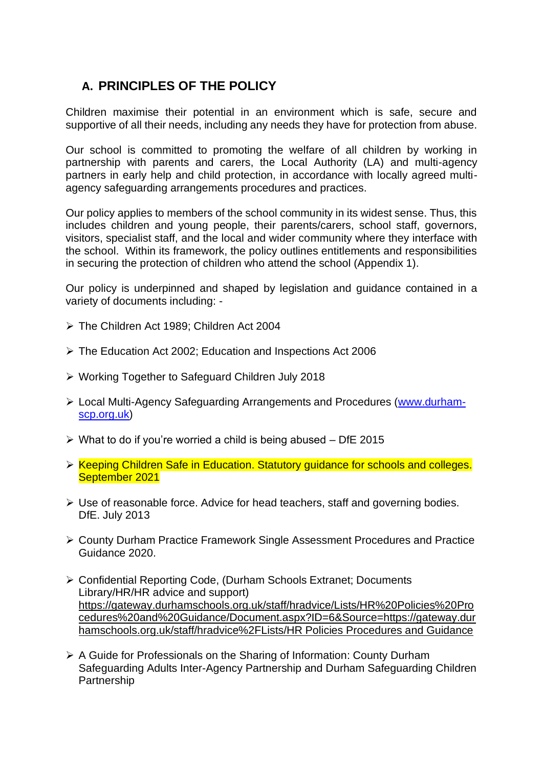### **A. PRINCIPLES OF THE POLICY**

Children maximise their potential in an environment which is safe, secure and supportive of all their needs, including any needs they have for protection from abuse.

Our school is committed to promoting the welfare of all children by working in partnership with parents and carers, the Local Authority (LA) and multi-agency partners in early help and child protection, in accordance with locally agreed multiagency safeguarding arrangements procedures and practices.

Our policy applies to members of the school community in its widest sense. Thus, this includes children and young people, their parents/carers, school staff, governors, visitors, specialist staff, and the local and wider community where they interface with the school. Within its framework, the policy outlines entitlements and responsibilities in securing the protection of children who attend the school (Appendix 1).

Our policy is underpinned and shaped by legislation and guidance contained in a variety of documents including: -

- ➢ The Children Act 1989; Children Act 2004
- ➢ The Education Act 2002; Education and Inspections Act 2006
- ➢ Working Together to Safeguard Children July 2018
- ➢ Local Multi-Agency Safeguarding Arrangements and Procedures [\(www.durham](http://www.durham-scp.org.uk/)[scp.org.uk\)](http://www.durham-scp.org.uk/)
- $\triangleright$  What to do if you're worried a child is being abused DfE 2015
- ➢ Keeping Children Safe in Education. Statutory guidance for schools and colleges. September 2021
- ➢ Use of reasonable force. Advice for head teachers, staff and governing bodies. DfE. July 2013
- ➢ County Durham Practice Framework Single Assessment Procedures and Practice Guidance 2020.
- ➢ Confidential Reporting Code, (Durham Schools Extranet; Documents Library/HR/HR advice and support) [https://gateway.durhamschools.org.uk/staff/hradvice/Lists/HR%20Policies%20Pro](https://gateway.durhamschools.org.uk/staff/hradvice/Lists/HR%20Policies%20Procedures%20and%20Guidance/Document.aspx?ID=6&Source=https://gateway.durhamschools.org.uk/staff/hradvice%2FLists/HR%20Policies%20Procedures%20and%20Guidance%20) [cedures%20and%20Guidance/Document.aspx?ID=6&Source=https://gateway.dur](https://gateway.durhamschools.org.uk/staff/hradvice/Lists/HR%20Policies%20Procedures%20and%20Guidance/Document.aspx?ID=6&Source=https://gateway.durhamschools.org.uk/staff/hradvice%2FLists/HR%20Policies%20Procedures%20and%20Guidance%20) [hamschools.org.uk/staff/hradvice%2FLists/HR Policies Procedures and Guidance](https://gateway.durhamschools.org.uk/staff/hradvice/Lists/HR%20Policies%20Procedures%20and%20Guidance/Document.aspx?ID=6&Source=https://gateway.durhamschools.org.uk/staff/hradvice%2FLists/HR%20Policies%20Procedures%20and%20Guidance%20)
- ➢ A Guide for Professionals on the Sharing of Information: County Durham Safeguarding Adults Inter-Agency Partnership and Durham Safeguarding Children **Partnership**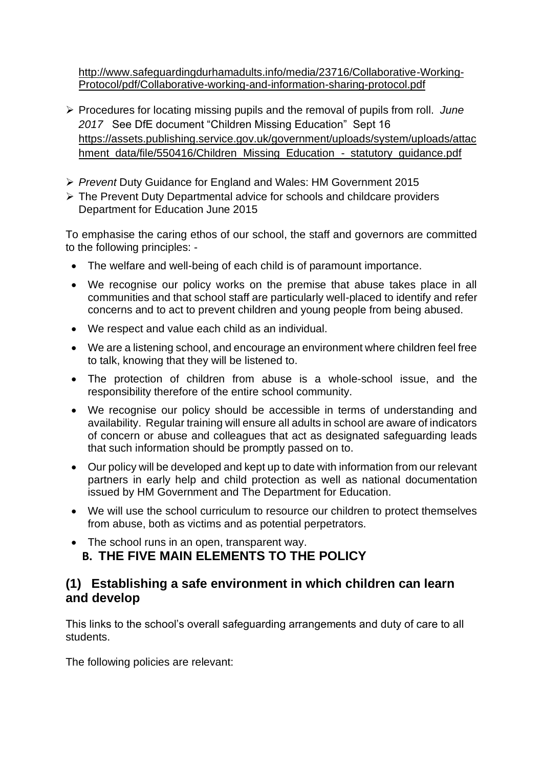[http://www.safeguardingdurhamadults.info/media/23716/Collaborative-Working-](http://www.safeguardingdurhamadults.info/media/23716/Collaborative-Working-Protocol/pdf/Collaborative-working-and-information-sharing-protocol.pdf)[Protocol/pdf/Collaborative-working-and-information-sharing-protocol.pdf](http://www.safeguardingdurhamadults.info/media/23716/Collaborative-Working-Protocol/pdf/Collaborative-working-and-information-sharing-protocol.pdf)

- ➢ Procedures for locating missing pupils and the removal of pupils from roll. *June 2017* See DfE document "Children Missing Education" Sept 16 [https://assets.publishing.service.gov.uk/government/uploads/system/uploads/attac](https://assets.publishing.service.gov.uk/government/uploads/system/uploads/attachment_data/file/550416/Children_Missing_Education_-_statutory_guidance.pdf) [hment\\_data/file/550416/Children\\_Missing\\_Education\\_-\\_statutory\\_guidance.pdf](https://assets.publishing.service.gov.uk/government/uploads/system/uploads/attachment_data/file/550416/Children_Missing_Education_-_statutory_guidance.pdf)
- ➢ *Prevent* Duty Guidance for England and Wales: HM Government 2015
- ➢ The Prevent Duty Departmental advice for schools and childcare providers Department for Education June 2015

To emphasise the caring ethos of our school, the staff and governors are committed to the following principles: -

- The welfare and well-being of each child is of paramount importance.
- We recognise our policy works on the premise that abuse takes place in all communities and that school staff are particularly well-placed to identify and refer concerns and to act to prevent children and young people from being abused.
- We respect and value each child as an individual.
- We are a listening school, and encourage an environment where children feel free to talk, knowing that they will be listened to.
- The protection of children from abuse is a whole-school issue, and the responsibility therefore of the entire school community.
- We recognise our policy should be accessible in terms of understanding and availability. Regular training will ensure all adults in school are aware of indicators of concern or abuse and colleagues that act as designated safeguarding leads that such information should be promptly passed on to.
- Our policy will be developed and kept up to date with information from our relevant partners in early help and child protection as well as national documentation issued by HM Government and The Department for Education.
- We will use the school curriculum to resource our children to protect themselves from abuse, both as victims and as potential perpetrators.
- The school runs in an open, transparent way. **B. THE FIVE MAIN ELEMENTS TO THE POLICY**

### **(1) Establishing a safe environment in which children can learn and develop**

This links to the school's overall safeguarding arrangements and duty of care to all students.

The following policies are relevant: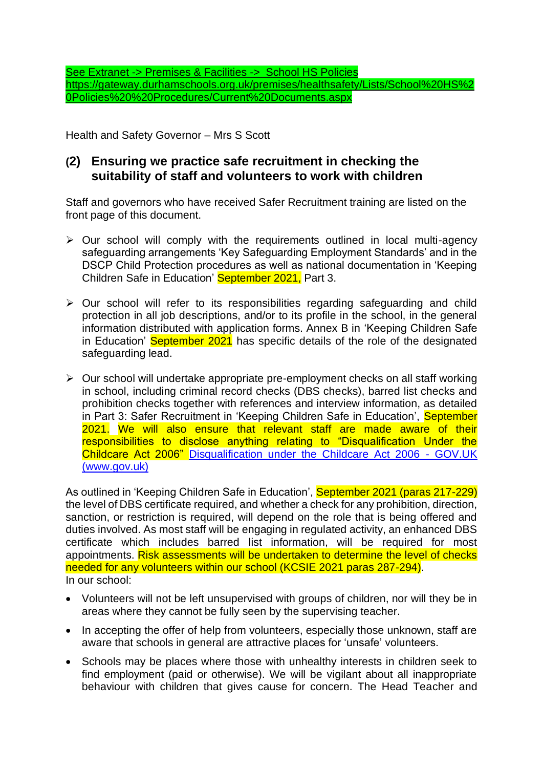See Extranet -> Premises & Facilities -> School HS Policies [https://gateway.durhamschools.org.uk/premises/healthsafety/Lists/School%20HS%2](https://gateway.durhamschools.org.uk/premises/healthsafety/Lists/School%20HS%20Policies%20%20Procedures/Current%20Documents.aspx) [0Policies%20%20Procedures/Current%20Documents.aspx](https://gateway.durhamschools.org.uk/premises/healthsafety/Lists/School%20HS%20Policies%20%20Procedures/Current%20Documents.aspx)

Health and Safety Governor – Mrs S Scott

### **(2) Ensuring we practice safe recruitment in checking the suitability of staff and volunteers to work with children**

Staff and governors who have received Safer Recruitment training are listed on the front page of this document.

- ➢ Our school will comply with the requirements outlined in local multi-agency safeguarding arrangements 'Key Safeguarding Employment Standards' and in the DSCP Child Protection procedures as well as national documentation in 'Keeping Children Safe in Education' September 2021, Part 3.
- ➢ Our school will refer to its responsibilities regarding safeguarding and child protection in all job descriptions, and/or to its profile in the school, in the general information distributed with application forms. Annex B in 'Keeping Children Safe in Education' September 2021 has specific details of the role of the designated safeguarding lead.
- ➢ Our school will undertake appropriate pre-employment checks on all staff working in school, including criminal record checks (DBS checks), barred list checks and prohibition checks together with references and interview information, as detailed in Part 3: Safer Recruitment in 'Keeping Children Safe in Education', September 2021. We will also ensure that relevant staff are made aware of their responsibilities to disclose anything relating to "Disqualification Under the Childcare Act 2006" [Disqualification under the Childcare Act 2006 -](https://www.gov.uk/government/publications/disqualification-under-the-childcare-act-2006/disqualification-under-the-childcare-act-2006) GOV.UK [\(www.gov.uk\)](https://www.gov.uk/government/publications/disqualification-under-the-childcare-act-2006/disqualification-under-the-childcare-act-2006)

As outlined in 'Keeping Children Safe in Education', September 2021 (paras 217-229) the level of DBS certificate required, and whether a check for any prohibition, direction, sanction, or restriction is required, will depend on the role that is being offered and duties involved. As most staff will be engaging in regulated activity, an enhanced DBS certificate which includes barred list information, will be required for most appointments. Risk assessments will be undertaken to determine the level of checks needed for any volunteers within our school (KCSIE 2021 paras 287-294). In our school:

- Volunteers will not be left unsupervised with groups of children, nor will they be in areas where they cannot be fully seen by the supervising teacher.
- In accepting the offer of help from volunteers, especially those unknown, staff are aware that schools in general are attractive places for 'unsafe' volunteers.
- Schools may be places where those with unhealthy interests in children seek to find employment (paid or otherwise). We will be vigilant about all inappropriate behaviour with children that gives cause for concern. The Head Teacher and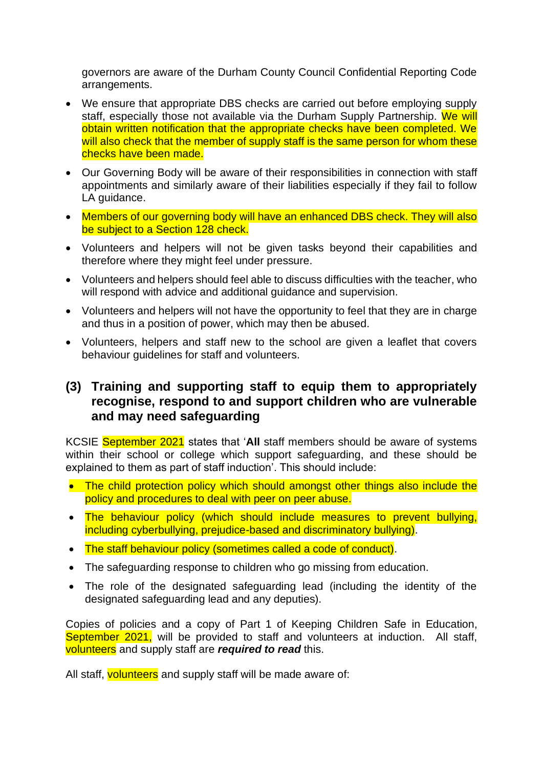governors are aware of the Durham County Council Confidential Reporting Code arrangements.

- We ensure that appropriate DBS checks are carried out before employing supply staff, especially those not available via the Durham Supply Partnership. We will obtain written notification that the appropriate checks have been completed. We will also check that the member of supply staff is the same person for whom these checks have been made.
- Our Governing Body will be aware of their responsibilities in connection with staff appointments and similarly aware of their liabilities especially if they fail to follow LA guidance.
- Members of our governing body will have an enhanced DBS check. They will also be subject to a Section 128 check.
- Volunteers and helpers will not be given tasks beyond their capabilities and therefore where they might feel under pressure.
- Volunteers and helpers should feel able to discuss difficulties with the teacher, who will respond with advice and additional guidance and supervision.
- Volunteers and helpers will not have the opportunity to feel that they are in charge and thus in a position of power, which may then be abused.
- Volunteers, helpers and staff new to the school are given a leaflet that covers behaviour guidelines for staff and volunteers.

### **(3) Training and supporting staff to equip them to appropriately recognise, respond to and support children who are vulnerable and may need safeguarding**

KCSIE September 2021 states that '**All** staff members should be aware of systems within their school or college which support safeguarding, and these should be explained to them as part of staff induction'. This should include:

- The child protection policy which should amongst other things also include the policy and procedures to deal with peer on peer abuse.
- The behaviour policy (which should include measures to prevent bullying, including cyberbullying, prejudice-based and discriminatory bullying).
- The staff behaviour policy (sometimes called a code of conduct).
- The safeguarding response to children who go missing from education.
- The role of the designated safeguarding lead (including the identity of the designated safeguarding lead and any deputies).

Copies of policies and a copy of Part 1 of Keeping Children Safe in Education, September 2021, will be provided to staff and volunteers at induction. All staff, volunteers and supply staff are *required to read* this.

All staff, volunteers and supply staff will be made aware of: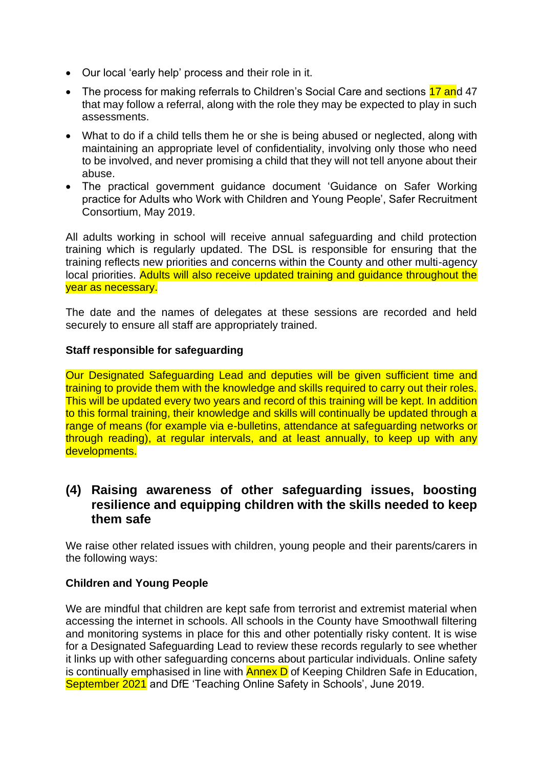- Our local 'early help' process and their role in it.
- The process for making referrals to Children's Social Care and sections 17 and 47 that may follow a referral, along with the role they may be expected to play in such assessments.
- What to do if a child tells them he or she is being abused or neglected, along with maintaining an appropriate level of confidentiality, involving only those who need to be involved, and never promising a child that they will not tell anyone about their abuse.
- The practical government guidance document 'Guidance on Safer Working practice for Adults who Work with Children and Young People', Safer Recruitment Consortium, May 2019.

All adults working in school will receive annual safeguarding and child protection training which is regularly updated. The DSL is responsible for ensuring that the training reflects new priorities and concerns within the County and other multi-agency local priorities. Adults will also receive updated training and quidance throughout the year as necessary.

The date and the names of delegates at these sessions are recorded and held securely to ensure all staff are appropriately trained.

#### **Staff responsible for safeguarding**

Our Designated Safeguarding Lead and deputies will be given sufficient time and training to provide them with the knowledge and skills required to carry out their roles. This will be updated every two years and record of this training will be kept. In addition to this formal training, their knowledge and skills will continually be updated through a range of means (for example via e-bulletins, attendance at safeguarding networks or through reading), at regular intervals, and at least annually, to keep up with any developments.

### **(4) Raising awareness of other safeguarding issues, boosting resilience and equipping children with the skills needed to keep them safe**

We raise other related issues with children, young people and their parents/carers in the following ways:

#### **Children and Young People**

We are mindful that children are kept safe from terrorist and extremist material when accessing the internet in schools. All schools in the County have Smoothwall filtering and monitoring systems in place for this and other potentially risky content. It is wise for a Designated Safeguarding Lead to review these records regularly to see whether it links up with other safeguarding concerns about particular individuals. Online safety is continually emphasised in line with **Annex D** of Keeping Children Safe in Education, September 2021 and DfE 'Teaching Online Safety in Schools', June 2019.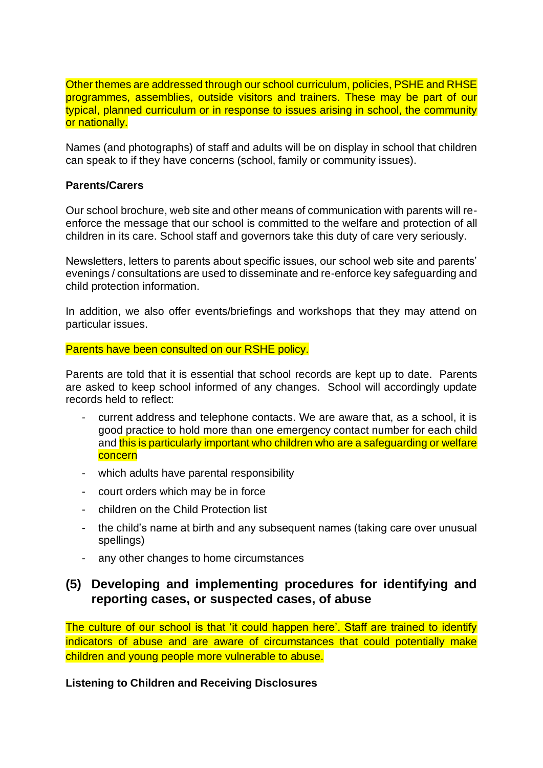Other themes are addressed through our school curriculum, policies, PSHE and RHSE programmes, assemblies, outside visitors and trainers. These may be part of our typical, planned curriculum or in response to issues arising in school, the community or nationally.

Names (and photographs) of staff and adults will be on display in school that children can speak to if they have concerns (school, family or community issues).

#### **Parents/Carers**

Our school brochure, web site and other means of communication with parents will reenforce the message that our school is committed to the welfare and protection of all children in its care. School staff and governors take this duty of care very seriously.

Newsletters, letters to parents about specific issues, our school web site and parents' evenings / consultations are used to disseminate and re-enforce key safeguarding and child protection information.

In addition, we also offer events/briefings and workshops that they may attend on particular issues.

#### Parents have been consulted on our RSHE policy.

Parents are told that it is essential that school records are kept up to date. Parents are asked to keep school informed of any changes. School will accordingly update records held to reflect:

- current address and telephone contacts. We are aware that, as a school, it is good practice to hold more than one emergency contact number for each child and this is particularly important who children who are a safeguarding or welfare concern
- which adults have parental responsibility
- court orders which may be in force
- children on the Child Protection list
- the child's name at birth and any subsequent names (taking care over unusual spellings)
- any other changes to home circumstances

### **(5) Developing and implementing procedures for identifying and reporting cases, or suspected cases, of abuse**

The culture of our school is that 'it could happen here'. Staff are trained to identify indicators of abuse and are aware of circumstances that could potentially make children and young people more vulnerable to abuse.

**Listening to Children and Receiving Disclosures**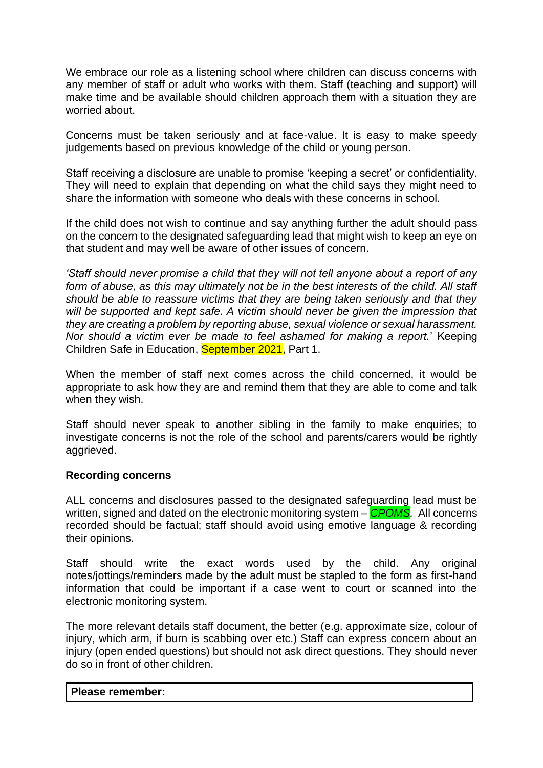We embrace our role as a listening school where children can discuss concerns with any member of staff or adult who works with them. Staff (teaching and support) will make time and be available should children approach them with a situation they are worried about.

Concerns must be taken seriously and at face-value. It is easy to make speedy judgements based on previous knowledge of the child or young person.

Staff receiving a disclosure are unable to promise 'keeping a secret' or confidentiality. They will need to explain that depending on what the child says they might need to share the information with someone who deals with these concerns in school.

If the child does not wish to continue and say anything further the adult should pass on the concern to the designated safeguarding lead that might wish to keep an eye on that student and may well be aware of other issues of concern.

*'Staff should never promise a child that they will not tell anyone about a report of any*  form of abuse, as this may ultimately not be in the best interests of the child. All staff *should be able to reassure victims that they are being taken seriously and that they will be supported and kept safe. A victim should never be given the impression that they are creating a problem by reporting abuse, sexual violence or sexual harassment. Nor should a victim ever be made to feel ashamed for making a report.*' Keeping Children Safe in Education, September 2021, Part 1.

When the member of staff next comes across the child concerned, it would be appropriate to ask how they are and remind them that they are able to come and talk when they wish.

Staff should never speak to another sibling in the family to make enquiries; to investigate concerns is not the role of the school and parents/carers would be rightly aggrieved.

#### **Recording concerns**

ALL concerns and disclosures passed to the designated safeguarding lead must be written, signed and dated on the electronic monitoring system – *CPOMS.* All concerns recorded should be factual; staff should avoid using emotive language & recording their opinions.

Staff should write the exact words used by the child. Any original notes/jottings/reminders made by the adult must be stapled to the form as first-hand information that could be important if a case went to court or scanned into the electronic monitoring system.

The more relevant details staff document, the better (e.g. approximate size, colour of injury, which arm, if burn is scabbing over etc.) Staff can express concern about an injury (open ended questions) but should not ask direct questions. They should never do so in front of other children.

#### **Please remember:**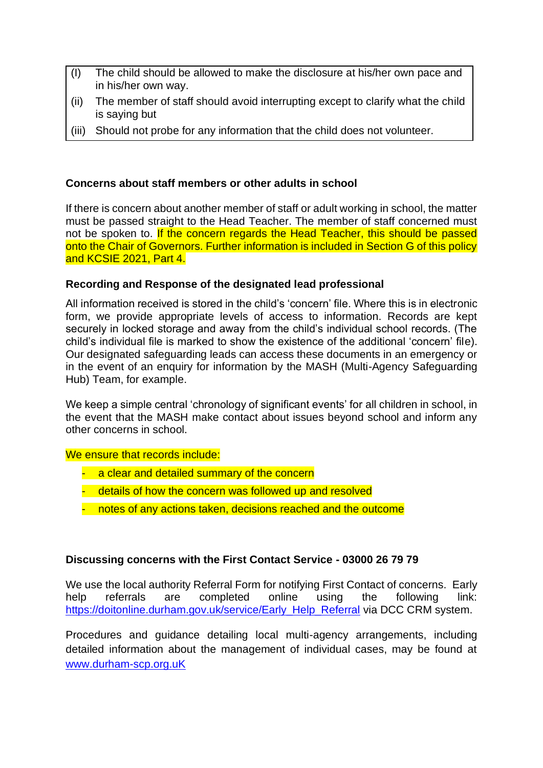- (I) The child should be allowed to make the disclosure at his/her own pace and in his/her own way.
- (ii) The member of staff should avoid interrupting except to clarify what the child is saying but
- (iii) Should not probe for any information that the child does not volunteer.

#### **Concerns about staff members or other adults in school**

If there is concern about another member of staff or adult working in school, the matter must be passed straight to the Head Teacher. The member of staff concerned must not be spoken to. If the concern regards the Head Teacher, this should be passed onto the Chair of Governors. Further information is included in Section G of this policy and KCSIE 2021, Part 4.

#### **Recording and Response of the designated lead professional**

All information received is stored in the child's 'concern' file. Where this is in electronic form, we provide appropriate levels of access to information. Records are kept securely in locked storage and away from the child's individual school records. (The child's individual file is marked to show the existence of the additional 'concern' file). Our designated safeguarding leads can access these documents in an emergency or in the event of an enquiry for information by the MASH (Multi-Agency Safeguarding Hub) Team, for example.

We keep a simple central 'chronology of significant events' for all children in school, in the event that the MASH make contact about issues beyond school and inform any other concerns in school.

We ensure that records include:

- a clear and detailed summary of the concern
- details of how the concern was followed up and resolved
- notes of any actions taken, decisions reached and the outcome

#### **Discussing concerns with the First Contact Service - 03000 26 79 79**

We use the local authority Referral Form for notifying First Contact of concerns. Early help referrals are completed online using the following link: [https://doitonline.durham.gov.uk/service/Early\\_Help\\_Referral](https://doitonline.durham.gov.uk/service/Early_Help_Referral) via DCC CRM system.

Procedures and guidance detailing local multi-agency arrangements, including detailed information about the management of individual cases, may be found at [www.durham-scp.org.uK](http://www.durham-scp.org.uk/)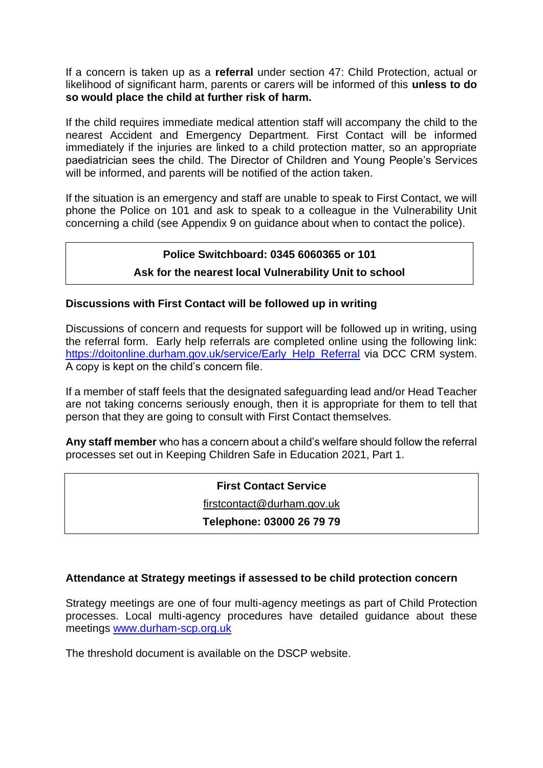If a concern is taken up as a **referral** under section 47: Child Protection, actual or likelihood of significant harm, parents or carers will be informed of this **unless to do so would place the child at further risk of harm.**

If the child requires immediate medical attention staff will accompany the child to the nearest Accident and Emergency Department. First Contact will be informed immediately if the injuries are linked to a child protection matter, so an appropriate paediatrician sees the child. The Director of Children and Young People's Services will be informed, and parents will be notified of the action taken.

If the situation is an emergency and staff are unable to speak to First Contact, we will phone the Police on 101 and ask to speak to a colleague in the Vulnerability Unit concerning a child (see Appendix 9 on guidance about when to contact the police).

#### **Police Switchboard: 0345 6060365 or 101**

#### **Ask for the nearest local Vulnerability Unit to school**

#### **Discussions with First Contact will be followed up in writing**

Discussions of concern and requests for support will be followed up in writing, using the referral form. Early help referrals are completed online using the following link: [https://doitonline.durham.gov.uk/service/Early\\_Help\\_Referral](https://doitonline.durham.gov.uk/service/Early_Help_Referral) via DCC CRM system. A copy is kept on the child's concern file.

If a member of staff feels that the designated safeguarding lead and/or Head Teacher are not taking concerns seriously enough, then it is appropriate for them to tell that person that they are going to consult with First Contact themselves.

**Any staff member** who has a concern about a child's welfare should follow the referral processes set out in Keeping Children Safe in Education 2021, Part 1.

#### **First Contact Service**

[firstcontact@durham.gov.uk](mailto:firstcontact@durham.gov.uk)

#### **Telephone: 03000 26 79 79**

#### **Attendance at Strategy meetings if assessed to be child protection concern**

Strategy meetings are one of four multi-agency meetings as part of Child Protection processes. Local multi-agency procedures have detailed guidance about these meetings [www.durham-scp.org.uk](http://www.durham-scp.org.uk/)

The threshold document is available on the DSCP website.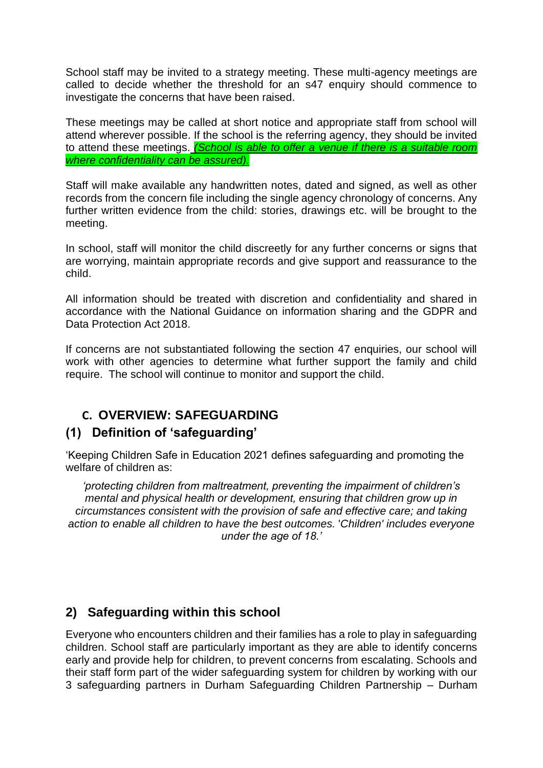School staff may be invited to a strategy meeting. These multi-agency meetings are called to decide whether the threshold for an s47 enquiry should commence to investigate the concerns that have been raised.

These meetings may be called at short notice and appropriate staff from school will attend wherever possible. If the school is the referring agency, they should be invited to attend these meetings. *(School is able to offer a venue if there is a suitable room where confidentiality can be assured).*

Staff will make available any handwritten notes, dated and signed, as well as other records from the concern file including the single agency chronology of concerns. Any further written evidence from the child: stories, drawings etc. will be brought to the meeting.

In school, staff will monitor the child discreetly for any further concerns or signs that are worrying, maintain appropriate records and give support and reassurance to the child.

All information should be treated with discretion and confidentiality and shared in accordance with the National Guidance on information sharing and the GDPR and Data Protection Act 2018.

If concerns are not substantiated following the section 47 enquiries, our school will work with other agencies to determine what further support the family and child require. The school will continue to monitor and support the child.

### **C. OVERVIEW: SAFEGUARDING**

### **(1) Definition of 'safeguarding'**

'Keeping Children Safe in Education 2021 defines safeguarding and promoting the welfare of children as:

*'protecting children from maltreatment, preventing the impairment of children's mental and physical health or development, ensuring that children grow up in circumstances consistent with the provision of safe and effective care; and taking action to enable all children to have the best outcomes.* '*Children' includes everyone under the age of 18.'*

### **2) Safeguarding within this school**

Everyone who encounters children and their families has a role to play in safeguarding children. School staff are particularly important as they are able to identify concerns early and provide help for children, to prevent concerns from escalating. Schools and their staff form part of the wider safeguarding system for children by working with our 3 safeguarding partners in Durham Safeguarding Children Partnership – Durham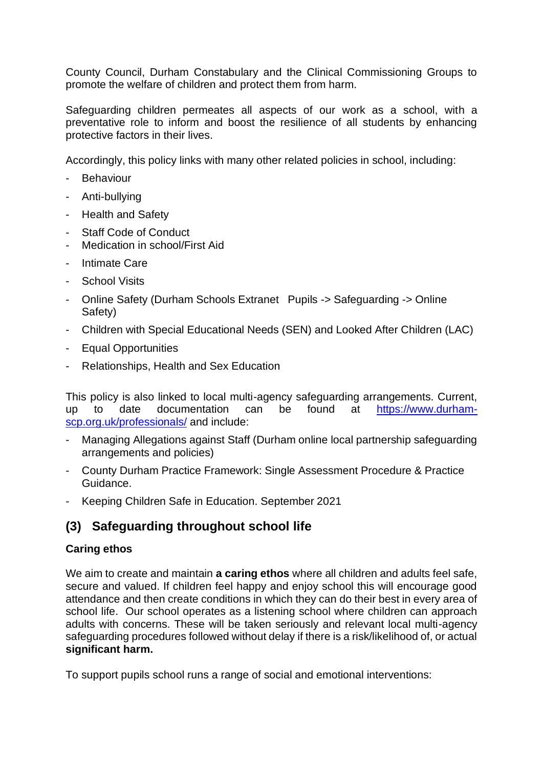County Council, Durham Constabulary and the Clinical Commissioning Groups to promote the welfare of children and protect them from harm.

Safeguarding children permeates all aspects of our work as a school, with a preventative role to inform and boost the resilience of all students by enhancing protective factors in their lives.

Accordingly, this policy links with many other related policies in school, including:

- **Behaviour**
- Anti-bullying
- Health and Safety
- Staff Code of Conduct
- Medication in school/First Aid
- Intimate Care
- School Visits
- Online Safety (Durham Schools Extranet Pupils -> Safeguarding -> Online Safety)
- Children with Special Educational Needs (SEN) and Looked After Children (LAC)
- Equal Opportunities
- Relationships, Health and Sex Education

This policy is also linked to local multi-agency safeguarding arrangements. Current, up to date documentation can be found at [https://www.durham](https://www.durham-scp.org.uk/professionals/)[scp.org.uk/professionals/](https://www.durham-scp.org.uk/professionals/) and include:

- Managing Allegations against Staff (Durham online local partnership safeguarding arrangements and policies)
- County Durham Practice Framework: Single Assessment Procedure & Practice Guidance.
- Keeping Children Safe in Education. September 2021

### **(3) Safeguarding throughout school life**

#### **Caring ethos**

We aim to create and maintain **a caring ethos** where all children and adults feel safe, secure and valued. If children feel happy and enjoy school this will encourage good attendance and then create conditions in which they can do their best in every area of school life. Our school operates as a listening school where children can approach adults with concerns. These will be taken seriously and relevant local multi-agency safeguarding procedures followed without delay if there is a risk/likelihood of, or actual **significant harm.**

To support pupils school runs a range of social and emotional interventions: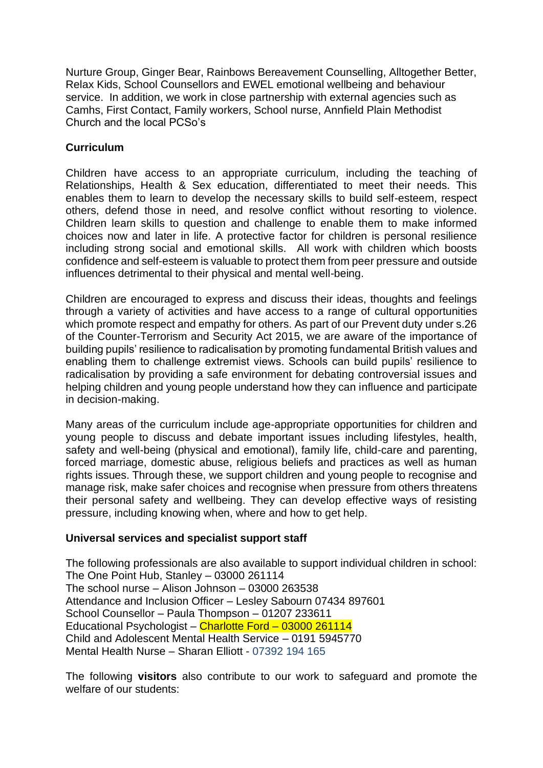Nurture Group, Ginger Bear, Rainbows Bereavement Counselling, Alltogether Better, Relax Kids, School Counsellors and EWEL emotional wellbeing and behaviour service. In addition, we work in close partnership with external agencies such as Camhs, First Contact, Family workers, School nurse, Annfield Plain Methodist Church and the local PCSo's

#### **Curriculum**

Children have access to an appropriate curriculum, including the teaching of Relationships, Health & Sex education, differentiated to meet their needs. This enables them to learn to develop the necessary skills to build self-esteem, respect others, defend those in need, and resolve conflict without resorting to violence. Children learn skills to question and challenge to enable them to make informed choices now and later in life. A protective factor for children is personal resilience including strong social and emotional skills. All work with children which boosts confidence and self-esteem is valuable to protect them from peer pressure and outside influences detrimental to their physical and mental well-being.

Children are encouraged to express and discuss their ideas, thoughts and feelings through a variety of activities and have access to a range of cultural opportunities which promote respect and empathy for others. As part of our Prevent duty under s.26 of the Counter-Terrorism and Security Act 2015, we are aware of the importance of building pupils' resilience to radicalisation by promoting fundamental British values and enabling them to challenge extremist views. Schools can build pupils' resilience to radicalisation by providing a safe environment for debating controversial issues and helping children and young people understand how they can influence and participate in decision-making.

Many areas of the curriculum include age-appropriate opportunities for children and young people to discuss and debate important issues including lifestyles, health, safety and well-being (physical and emotional), family life, child-care and parenting, forced marriage, domestic abuse, religious beliefs and practices as well as human rights issues. Through these, we support children and young people to recognise and manage risk, make safer choices and recognise when pressure from others threatens their personal safety and wellbeing. They can develop effective ways of resisting pressure, including knowing when, where and how to get help.

#### **Universal services and specialist support staff**

The following professionals are also available to support individual children in school: The One Point Hub, Stanley – 03000 261114 The school nurse – Alison Johnson – 03000 263538 Attendance and Inclusion Officer – Lesley Sabourn 07434 897601 School Counsellor – Paula Thompson – 01207 233611 Educational Psychologist – Charlotte Ford – 03000 261114 Child and Adolescent Mental Health Service – 0191 5945770 Mental Health Nurse – Sharan Elliott - 07392 194 165

The following **visitors** also contribute to our work to safeguard and promote the welfare of our students: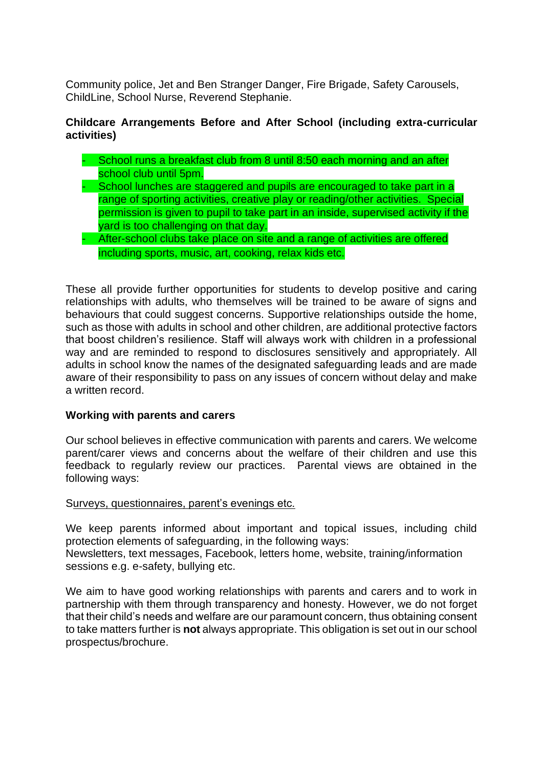Community police, Jet and Ben Stranger Danger, Fire Brigade, Safety Carousels, ChildLine, School Nurse, Reverend Stephanie.

#### **Childcare Arrangements Before and After School (including extra-curricular activities)**

- School runs a breakfast club from 8 until 8:50 each morning and an after school club until 5pm.
- School lunches are staggered and pupils are encouraged to take part in a range of sporting activities, creative play or reading/other activities. Special permission is given to pupil to take part in an inside, supervised activity if the yard is too challenging on that day.
- After-school clubs take place on site and a range of activities are offered including sports, music, art, cooking, relax kids etc.

These all provide further opportunities for students to develop positive and caring relationships with adults, who themselves will be trained to be aware of signs and behaviours that could suggest concerns. Supportive relationships outside the home, such as those with adults in school and other children, are additional protective factors that boost children's resilience. Staff will always work with children in a professional way and are reminded to respond to disclosures sensitively and appropriately. All adults in school know the names of the designated safeguarding leads and are made aware of their responsibility to pass on any issues of concern without delay and make a written record.

#### **Working with parents and carers**

Our school believes in effective communication with parents and carers. We welcome parent/carer views and concerns about the welfare of their children and use this feedback to regularly review our practices. Parental views are obtained in the following ways:

#### Surveys, questionnaires, parent's evenings etc.

We keep parents informed about important and topical issues, including child protection elements of safeguarding, in the following ways:

Newsletters, text messages, Facebook, letters home, website, training/information sessions e.g. e-safety, bullying etc.

We aim to have good working relationships with parents and carers and to work in partnership with them through transparency and honesty. However, we do not forget that their child's needs and welfare are our paramount concern, thus obtaining consent to take matters further is **not** always appropriate. This obligation is set out in our school prospectus/brochure.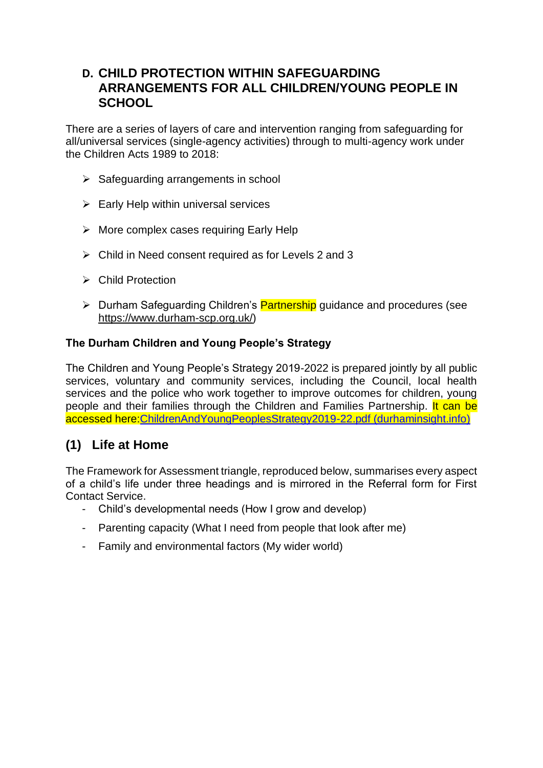### **D. CHILD PROTECTION WITHIN SAFEGUARDING ARRANGEMENTS FOR ALL CHILDREN/YOUNG PEOPLE IN SCHOOL**

There are a series of layers of care and intervention ranging from safeguarding for all/universal services (single-agency activities) through to multi-agency work under the Children Acts 1989 to 2018:

- $\triangleright$  Safeguarding arrangements in school
- $\triangleright$  Early Help within universal services
- ➢ More complex cases requiring Early Help
- $\triangleright$  Child in Need consent required as for Levels 2 and 3
- ➢ Child Protection
- ➢ Durham Safeguarding Children's Partnership guidance and procedures (see [https://www.durham-scp.org.uk/\)](https://www.durham-scp.org.uk/)

#### **The Durham Children and Young People's Strategy**

The Children and Young People's Strategy 2019-2022 is prepared jointly by all public services, voluntary and community services, including the Council, local health services and the police who work together to improve outcomes for children, young people and their families through the Children and Families Partnership. It can be accessed here[:ChildrenAndYoungPeoplesStrategy2019-22.pdf \(durhaminsight.info\)](https://www.durhaminsight.info/wp-content/uploads/2019/06/ChildrenAndYoungPeoplesStrategy2019-22.pdf)

### **(1) Life at Home**

The Framework for Assessment triangle, reproduced below, summarises every aspect of a child's life under three headings and is mirrored in the Referral form for First Contact Service.

- Child's developmental needs (How I grow and develop)
- Parenting capacity (What I need from people that look after me)
- Family and environmental factors (My wider world)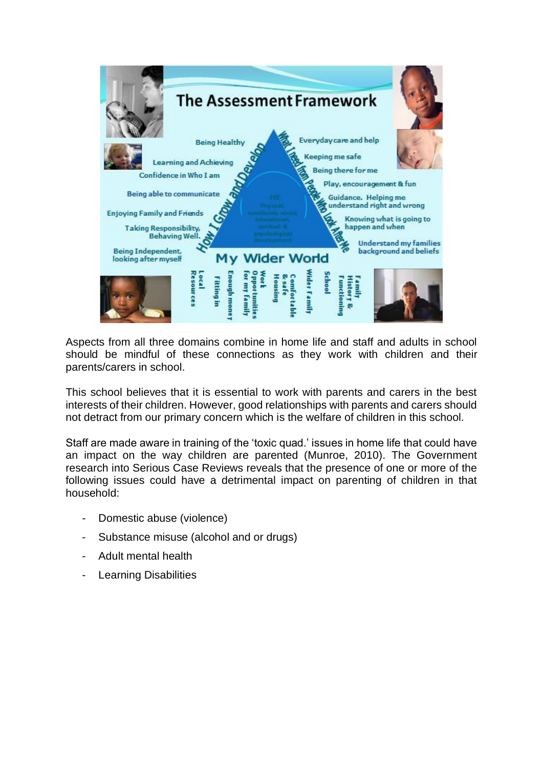

Aspects from all three domains combine in home life and staff and adults in school should be mindful of these connections as they work with children and their parents/carers in school.

This school believes that it is essential to work with parents and carers in the best interests of their children. However, good relationships with parents and carers should not detract from our primary concern which is the welfare of children in this school.

Staff are made aware in training of the 'toxic quad.' issues in home life that could have an impact on the way children are parented (Munroe, 2010). The Government research into Serious Case Reviews reveals that the presence of one or more of the following issues could have a detrimental impact on parenting of children in that household:

- Domestic abuse (violence)
- Substance misuse (alcohol and or drugs)
- Adult mental health
- Learning Disabilities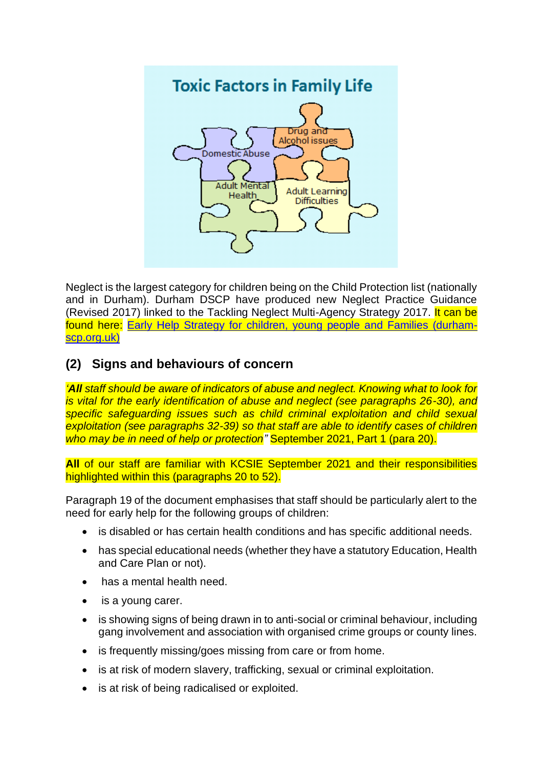

Neglect is the largest category for children being on the Child Protection list (nationally and in Durham). Durham DSCP have produced new Neglect Practice Guidance (Revised 2017) linked to the Tackling Neglect Multi-Agency Strategy 2017. It can be found here: [Early Help Strategy for children, young people and Families \(durham](https://durham-scp.org.uk/wp-content/uploads/2016/06/1458036245-Neglect-Practice-Guidance-2016-Final.pdf)[scp.org.uk\)](https://durham-scp.org.uk/wp-content/uploads/2016/06/1458036245-Neglect-Practice-Guidance-2016-Final.pdf)

### **(2) Signs and behaviours of concern**

*'All staff should be aware of indicators of abuse and neglect. Knowing what to look for is vital for the early identification of abuse and neglect (see paragraphs 26-30), and specific safeguarding issues such as child criminal exploitation and child sexual exploitation (see paragraphs 32-39) so that staff are able to identify cases of children who may be in need of help or protection"* September 2021, Part 1 (para 20).

**All** of our staff are familiar with KCSIE September 2021 and their responsibilities highlighted within this (paragraphs 20 to 52).

Paragraph 19 of the document emphasises that staff should be particularly alert to the need for early help for the following groups of children:

- is disabled or has certain health conditions and has specific additional needs.
- has special educational needs (whether they have a statutory Education, Health and Care Plan or not).
- has a mental health need.
- is a young carer.
- is showing signs of being drawn in to anti-social or criminal behaviour, including gang involvement and association with organised crime groups or county lines.
- is frequently missing/goes missing from care or from home.
- is at risk of modern slavery, trafficking, sexual or criminal exploitation.
- is at risk of being radicalised or exploited.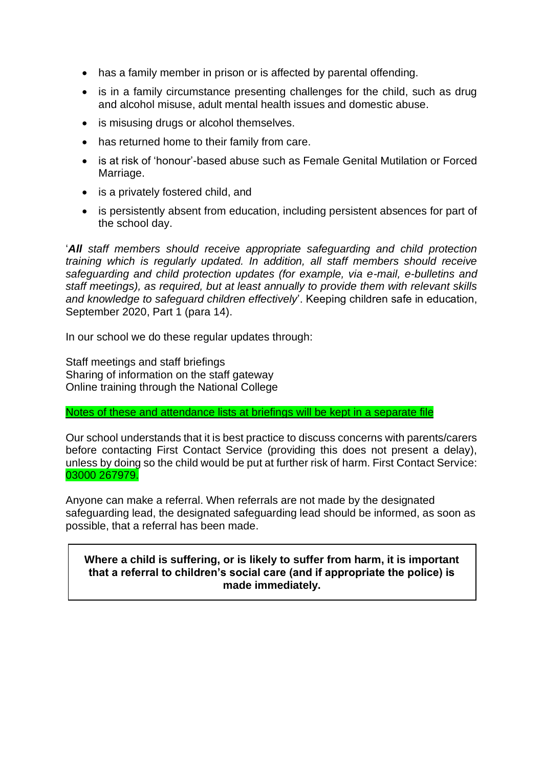- has a family member in prison or is affected by parental offending.
- is in a family circumstance presenting challenges for the child, such as drug and alcohol misuse, adult mental health issues and domestic abuse.
- is misusing drugs or alcohol themselves.
- has returned home to their family from care.
- is at risk of 'honour'-based abuse such as Female Genital Mutilation or Forced Marriage.
- is a privately fostered child, and
- is persistently absent from education, including persistent absences for part of the school day.

'*All staff members should receive appropriate safeguarding and child protection training which is regularly updated. In addition, all staff members should receive safeguarding and child protection updates (for example, via e-mail, e-bulletins and staff meetings), as required, but at least annually to provide them with relevant skills and knowledge to safeguard children effectively*'. Keeping children safe in education, September 2020, Part 1 (para 14).

In our school we do these regular updates through:

Staff meetings and staff briefings Sharing of information on the staff gateway Online training through the National College

Notes of these and attendance lists at briefings will be kept in a separate file

Our school understands that it is best practice to discuss concerns with parents/carers before contacting First Contact Service (providing this does not present a delay), unless by doing so the child would be put at further risk of harm. First Contact Service: 03000 267979.

Anyone can make a referral. When referrals are not made by the designated safeguarding lead, the designated safeguarding lead should be informed, as soon as possible, that a referral has been made.

#### **Where a child is suffering, or is likely to suffer from harm, it is important that a referral to children's social care (and if appropriate the police) is made immediately.**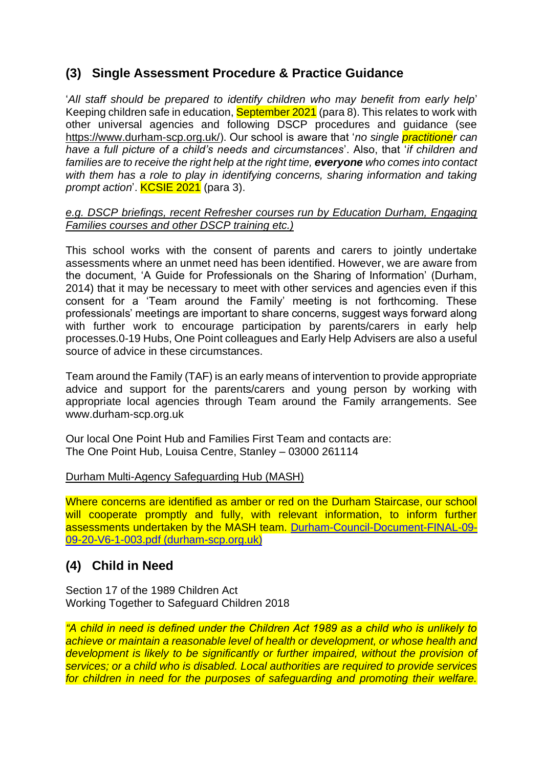### **(3) Single Assessment Procedure & Practice Guidance**

'*All staff should be prepared to identify children who may benefit from early help*' Keeping children safe in education, September 2021 (para 8). This relates to work with other universal agencies and following DSCP procedures and guidance (see [https://www.durham-scp.org.uk/\)](https://www.durham-scp.org.uk/). Our school is aware that '*no single practitioner can have a full picture of a child's needs and circumstances*'. Also, that '*if children and families are to receive the right help at the right time, everyone who comes into contact*  with them has a role to play in identifying concerns, sharing information and taking *prompt action*'. KCSIE 2021 (para 3).

#### *e.g. DSCP briefings, recent Refresher courses run by Education Durham, Engaging Families courses and other DSCP training etc.)*

This school works with the consent of parents and carers to jointly undertake assessments where an unmet need has been identified. However, we are aware from the document, 'A Guide for Professionals on the Sharing of Information' (Durham, 2014) that it may be necessary to meet with other services and agencies even if this consent for a 'Team around the Family' meeting is not forthcoming. These professionals' meetings are important to share concerns, suggest ways forward along with further work to encourage participation by parents/carers in early help processes.0-19 Hubs, One Point colleagues and Early Help Advisers are also a useful source of advice in these circumstances.

Team around the Family (TAF) is an early means of intervention to provide appropriate advice and support for the parents/carers and young person by working with appropriate local agencies through Team around the Family arrangements. See www.durham-scp.org.uk

Our local One Point Hub and Families First Team and contacts are: The One Point Hub, Louisa Centre, Stanley – 03000 261114

#### Durham Multi-Agency Safeguarding Hub (MASH)

Where concerns are identified as amber or red on the Durham Staircase, our school will cooperate promptly and fully, with relevant information, to inform further assessments undertaken by the MASH team. [Durham-Council-Document-FINAL-09-](https://durham-scp.org.uk/wp-content/uploads/2020/09/Durham-Council-Document-FINAL-09-09-20-V6-1-003.pdf) [09-20-V6-1-003.pdf \(durham-scp.org.uk\)](https://durham-scp.org.uk/wp-content/uploads/2020/09/Durham-Council-Document-FINAL-09-09-20-V6-1-003.pdf)

### **(4) Child in Need**

Section 17 of the 1989 Children Act Working Together to Safeguard Children 2018

*"A child in need is defined under the Children Act 1989 as a child who is unlikely to achieve or maintain a reasonable level of health or development, or whose health and development is likely to be significantly or further impaired, without the provision of services; or a child who is disabled. Local authorities are required to provide services for children in need for the purposes of safeguarding and promoting their welfare.*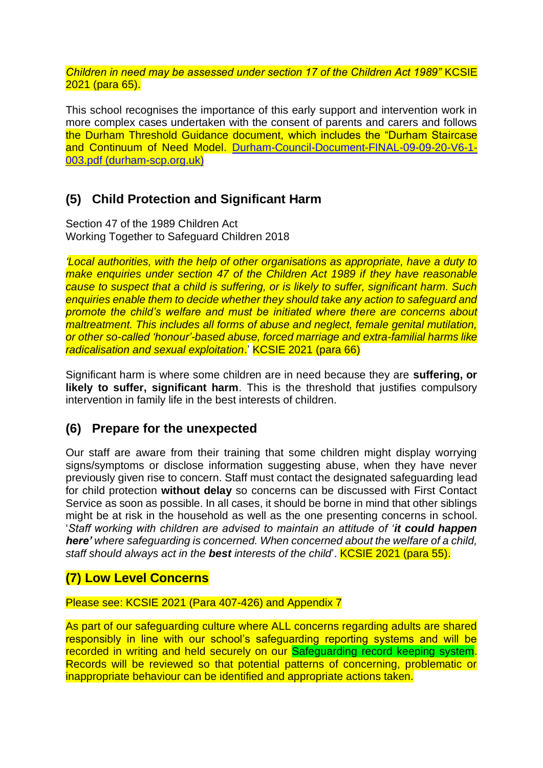*Children in need may be assessed under section 17 of the Children Act 1989"* KCSIE 2021 (para 65).

This school recognises the importance of this early support and intervention work in more complex cases undertaken with the consent of parents and carers and follows the Durham Threshold Guidance document, which includes the "Durham Staircase and Continuum of Need Model. [Durham-Council-Document-FINAL-09-09-20-V6-1-](https://durham-scp.org.uk/wp-content/uploads/2020/09/Durham-Council-Document-FINAL-09-09-20-V6-1-003.pdf) [003.pdf \(durham-scp.org.uk\)](https://durham-scp.org.uk/wp-content/uploads/2020/09/Durham-Council-Document-FINAL-09-09-20-V6-1-003.pdf)

### **(5) Child Protection and Significant Harm**

Section 47 of the 1989 Children Act Working Together to Safeguard Children 2018

*'Local authorities, with the help of other organisations as appropriate, have a duty to make enquiries under section 47 of the Children Act 1989 if they have reasonable cause to suspect that a child is suffering, or is likely to suffer, significant harm. Such enquiries enable them to decide whether they should take any action to safeguard and promote the child's welfare and must be initiated where there are concerns about maltreatment. This includes all forms of abuse and neglect, female genital mutilation, or other so-called 'honour'-based abuse, forced marriage and extra-familial harms like radicalisation and sexual exploitation*.' KCSIE 2021 (para 66)

Significant harm is where some children are in need because they are **suffering, or likely to suffer, significant harm**. This is the threshold that justifies compulsory intervention in family life in the best interests of children.

### **(6) Prepare for the unexpected**

Our staff are aware from their training that some children might display worrying signs/symptoms or disclose information suggesting abuse, when they have never previously given rise to concern. Staff must contact the designated safeguarding lead for child protection **without delay** so concerns can be discussed with First Contact Service as soon as possible. In all cases, it should be borne in mind that other siblings might be at risk in the household as well as the one presenting concerns in school. '*Staff working with children are advised to maintain an attitude of 'it could happen here' where safeguarding is concerned. When concerned about the welfare of a child, staff should always act in the best interests of the child*'. KCSIE 2021 (para 55).

### **(7) Low Level Concerns**

Please see: KCSIE 2021 (Para 407-426) and Appendix 7

As part of our safeguarding culture where ALL concerns regarding adults are shared responsibly in line with our school's safeguarding reporting systems and will be recorded in writing and held securely on our Safeguarding record keeping system. Records will be reviewed so that potential patterns of concerning, problematic or inappropriate behaviour can be identified and appropriate actions taken.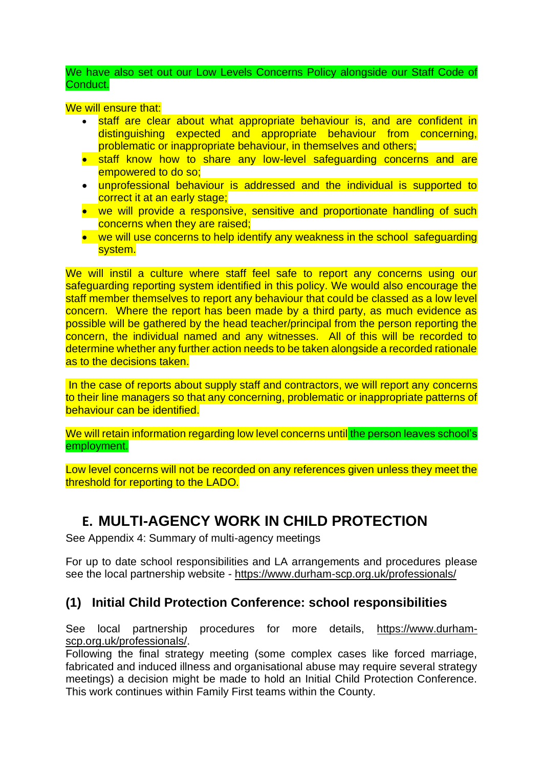We have also set out our Low Levels Concerns Policy alongside our Staff Code of Conduct.

We will ensure that:

- staff are clear about what appropriate behaviour is, and are confident in distinguishing expected and appropriate behaviour from concerning, problematic or inappropriate behaviour, in themselves and others;
- staff know how to share any low-level safeguarding concerns and are empowered to do so;
- unprofessional behaviour is addressed and the individual is supported to correct it at an early stage;
- we will provide a responsive, sensitive and proportionate handling of such concerns when they are raised;
- we will use concerns to help identify any weakness in the school safeguarding system.

We will instil a culture where staff feel safe to report any concerns using our safeguarding reporting system identified in this policy. We would also encourage the staff member themselves to report any behaviour that could be classed as a low level concern. Where the report has been made by a third party, as much evidence as possible will be gathered by the head teacher/principal from the person reporting the concern, the individual named and any witnesses. All of this will be recorded to determine whether any further action needs to be taken alongside a recorded rationale as to the decisions taken.

In the case of reports about supply staff and contractors, we will report any concerns to their line managers so that any concerning, problematic or inappropriate patterns of behaviour can be identified.

We will retain information regarding low level concerns until the person leaves school's employment.

Low level concerns will not be recorded on any references given unless they meet the threshold for reporting to the LADO.

## **E. MULTI-AGENCY WORK IN CHILD PROTECTION**

See Appendix 4: Summary of multi-agency meetings

For up to date school responsibilities and LA arrangements and procedures please see the local partnership website - <https://www.durham-scp.org.uk/professionals/>

### **(1) Initial Child Protection Conference: school responsibilities**

See local partnership procedures for more details, [https://www.durham](https://www.durham-scp.org.uk/professionals/)[scp.org.uk/professionals/.](https://www.durham-scp.org.uk/professionals/)

Following the final strategy meeting (some complex cases like forced marriage, fabricated and induced illness and organisational abuse may require several strategy meetings) a decision might be made to hold an Initial Child Protection Conference. This work continues within Family First teams within the County.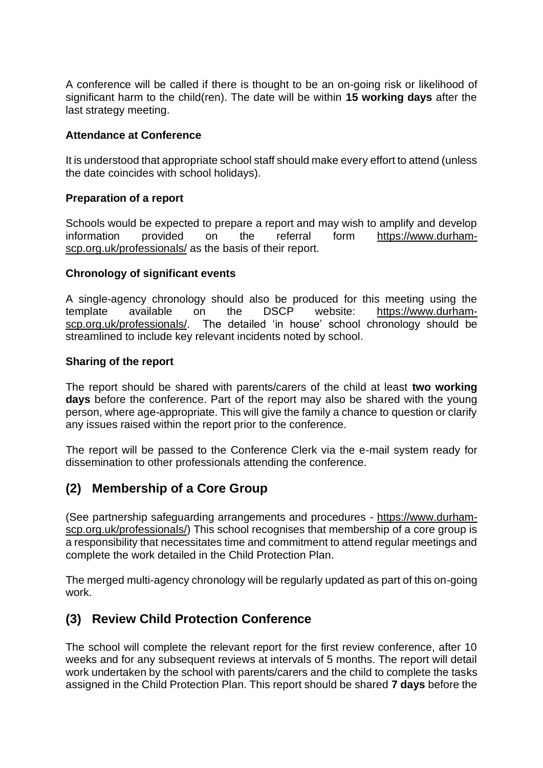A conference will be called if there is thought to be an on-going risk or likelihood of significant harm to the child(ren). The date will be within **15 working days** after the last strategy meeting.

#### **Attendance at Conference**

It is understood that appropriate school staff should make every effort to attend (unless the date coincides with school holidays).

#### **Preparation of a report**

Schools would be expected to prepare a report and may wish to amplify and develop information provided on the referral form [https://www.durham](https://www.durham-scp.org.uk/professionals/)[scp.org.uk/professionals/](https://www.durham-scp.org.uk/professionals/) as the basis of their report.

#### **Chronology of significant events**

A single-agency chronology should also be produced for this meeting using the template available on the DSCP website: [https://www.durham](https://www.durham-scp.org.uk/professionals/)[scp.org.uk/professionals/.](https://www.durham-scp.org.uk/professionals/) The detailed 'in house' school chronology should be streamlined to include key relevant incidents noted by school.

#### **Sharing of the report**

The report should be shared with parents/carers of the child at least **two working days** before the conference. Part of the report may also be shared with the young person, where age-appropriate. This will give the family a chance to question or clarify any issues raised within the report prior to the conference.

The report will be passed to the Conference Clerk via the e-mail system ready for dissemination to other professionals attending the conference.

### **(2) Membership of a Core Group**

(See partnership safeguarding arrangements and procedures - [https://www.durham](https://www.durham-scp.org.uk/professionals/)[scp.org.uk/professionals/\)](https://www.durham-scp.org.uk/professionals/) This school recognises that membership of a core group is a responsibility that necessitates time and commitment to attend regular meetings and complete the work detailed in the Child Protection Plan.

The merged multi-agency chronology will be regularly updated as part of this on-going work.

### **(3) Review Child Protection Conference**

The school will complete the relevant report for the first review conference, after 10 weeks and for any subsequent reviews at intervals of 5 months. The report will detail work undertaken by the school with parents/carers and the child to complete the tasks assigned in the Child Protection Plan. This report should be shared **7 days** before the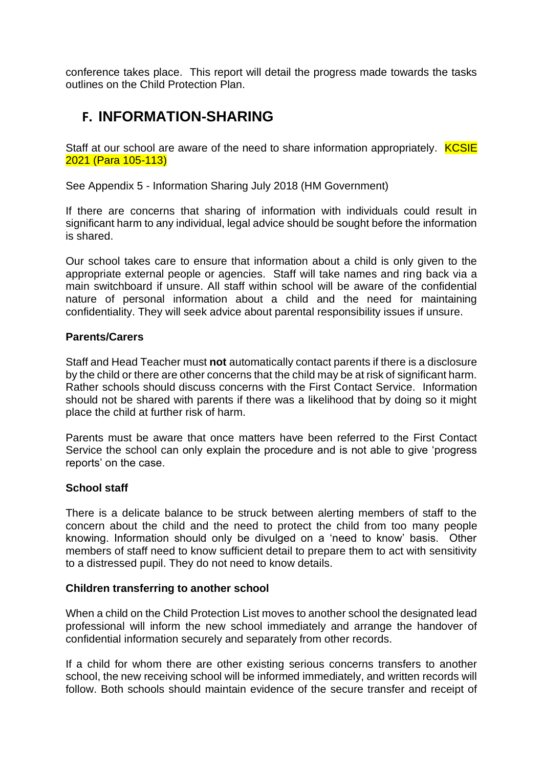conference takes place. This report will detail the progress made towards the tasks outlines on the Child Protection Plan.

# **F. INFORMATION-SHARING**

Staff at our school are aware of the need to share information appropriately. **KCSIE** 2021 (Para 105-113)

See Appendix 5 - Information Sharing July 2018 (HM Government)

If there are concerns that sharing of information with individuals could result in significant harm to any individual, legal advice should be sought before the information is shared.

Our school takes care to ensure that information about a child is only given to the appropriate external people or agencies. Staff will take names and ring back via a main switchboard if unsure. All staff within school will be aware of the confidential nature of personal information about a child and the need for maintaining confidentiality. They will seek advice about parental responsibility issues if unsure.

#### **Parents/Carers**

Staff and Head Teacher must **not** automatically contact parents if there is a disclosure by the child or there are other concerns that the child may be at risk of significant harm. Rather schools should discuss concerns with the First Contact Service. Information should not be shared with parents if there was a likelihood that by doing so it might place the child at further risk of harm.

Parents must be aware that once matters have been referred to the First Contact Service the school can only explain the procedure and is not able to give 'progress reports' on the case.

#### **School staff**

There is a delicate balance to be struck between alerting members of staff to the concern about the child and the need to protect the child from too many people knowing. Information should only be divulged on a 'need to know' basis. Other members of staff need to know sufficient detail to prepare them to act with sensitivity to a distressed pupil. They do not need to know details.

#### **Children transferring to another school**

When a child on the Child Protection List moves to another school the designated lead professional will inform the new school immediately and arrange the handover of confidential information securely and separately from other records.

If a child for whom there are other existing serious concerns transfers to another school, the new receiving school will be informed immediately, and written records will follow. Both schools should maintain evidence of the secure transfer and receipt of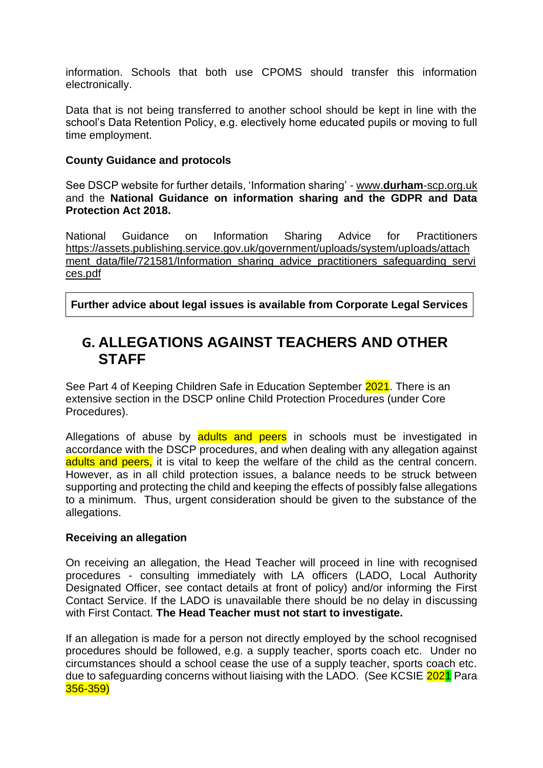information. Schools that both use CPOMS should transfer this information electronically.

Data that is not being transferred to another school should be kept in line with the school's Data Retention Policy, e.g. electively home educated pupils or moving to full time employment.

#### **County Guidance and protocols**

See DSCP website for further details, 'Information sharing' - www.**durham**[-scp.org.uk](http://www.durham-scp.org.uk/) and the **National Guidance on information sharing and the GDPR and Data Protection Act 2018.**

National Guidance on Information Sharing Advice for Practitioners [https://assets.publishing.service.gov.uk/government/uploads/system/uploads/attach](https://assets.publishing.service.gov.uk/government/uploads/system/uploads/attachment_data/file/721581/Information_sharing_advice_practitioners_safeguarding_services.pdf) [ment\\_data/file/721581/Information\\_sharing\\_advice\\_practitioners\\_safeguarding\\_servi](https://assets.publishing.service.gov.uk/government/uploads/system/uploads/attachment_data/file/721581/Information_sharing_advice_practitioners_safeguarding_services.pdf) [ces.pdf](https://assets.publishing.service.gov.uk/government/uploads/system/uploads/attachment_data/file/721581/Information_sharing_advice_practitioners_safeguarding_services.pdf)

**Further advice about legal issues is available from Corporate Legal Services** 

## **G. ALLEGATIONS AGAINST TEACHERS AND OTHER STAFF**

See Part 4 of Keeping Children Safe in Education September 2021. There is an extensive section in the DSCP online Child Protection Procedures (under Core Procedures).

Allegations of abuse by adults and peers in schools must be investigated in accordance with the DSCP procedures, and when dealing with any allegation against adults and peers, it is vital to keep the welfare of the child as the central concern. However, as in all child protection issues, a balance needs to be struck between supporting and protecting the child and keeping the effects of possibly false allegations to a minimum. Thus, urgent consideration should be given to the substance of the allegations.

#### **Receiving an allegation**

On receiving an allegation, the Head Teacher will proceed in line with recognised procedures - consulting immediately with LA officers (LADO, Local Authority Designated Officer, see contact details at front of policy) and/or informing the First Contact Service. If the LADO is unavailable there should be no delay in discussing with First Contact. **The Head Teacher must not start to investigate.**

If an allegation is made for a person not directly employed by the school recognised procedures should be followed, e.g. a supply teacher, sports coach etc. Under no circumstances should a school cease the use of a supply teacher, sports coach etc. due to safeguarding concerns without liaising with the LADO. (See KCSIE 2021 Para 356-359)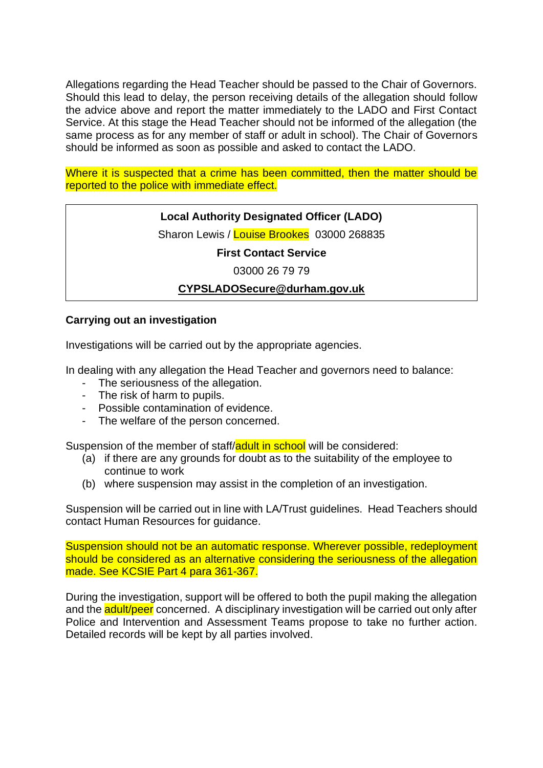Allegations regarding the Head Teacher should be passed to the Chair of Governors. Should this lead to delay, the person receiving details of the allegation should follow the advice above and report the matter immediately to the LADO and First Contact Service. At this stage the Head Teacher should not be informed of the allegation (the same process as for any member of staff or adult in school). The Chair of Governors should be informed as soon as possible and asked to contact the LADO.

Where it is suspected that a crime has been committed, then the matter should be reported to the police with immediate effect.

### **Local Authority Designated Officer (LADO)**

Sharon Lewis / Louise Brookes 03000 268835

**First Contact Service**

03000 26 79 79

#### **[CYPSLADOSecure@durham.gov.uk](mailto:CYPSLADOSecure@durham.gov.uk)**

#### **Carrying out an investigation**

Investigations will be carried out by the appropriate agencies.

In dealing with any allegation the Head Teacher and governors need to balance:

- The seriousness of the allegation.
- The risk of harm to pupils.
- Possible contamination of evidence.
- The welfare of the person concerned.

Suspension of the member of staff/adult in school will be considered:

- (a) if there are any grounds for doubt as to the suitability of the employee to continue to work
- (b) where suspension may assist in the completion of an investigation.

Suspension will be carried out in line with LA/Trust guidelines. Head Teachers should contact Human Resources for guidance.

Suspension should not be an automatic response. Wherever possible, redeployment should be considered as an alternative considering the seriousness of the allegation made. See KCSIE Part 4 para 361-367.

During the investigation, support will be offered to both the pupil making the allegation and the **adult/peer** concerned. A disciplinary investigation will be carried out only after Police and Intervention and Assessment Teams propose to take no further action. Detailed records will be kept by all parties involved.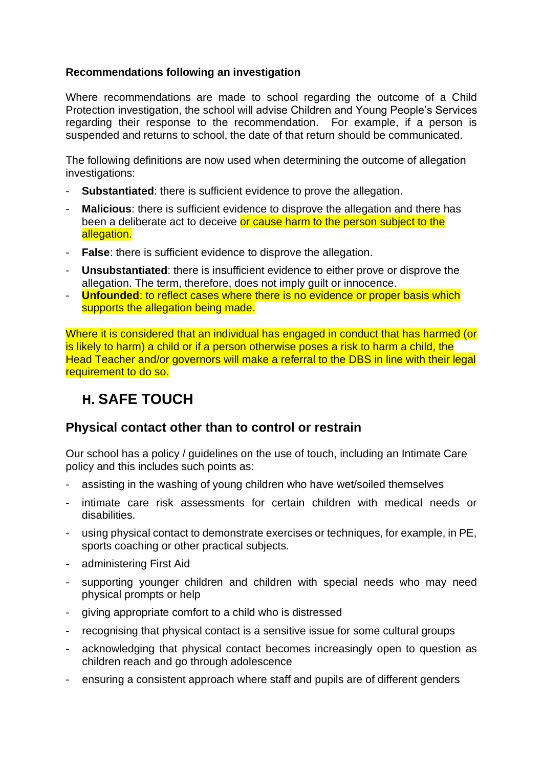#### **Recommendations following an investigation**

Where recommendations are made to school regarding the outcome of a Child Protection investigation, the school will advise Children and Young People's Services regarding their response to the recommendation. For example, if a person is suspended and returns to school, the date of that return should be communicated.

The following definitions are now used when determining the outcome of allegation investigations:

- **Substantiated**: there is sufficient evidence to prove the allegation.
- **Malicious**: there is sufficient evidence to disprove the allegation and there has been a deliberate act to deceive or cause harm to the person subject to the allegation.
- **False**: there is sufficient evidence to disprove the allegation.
- **Unsubstantiated**: there is insufficient evidence to either prove or disprove the allegation. The term, therefore, does not imply guilt or innocence.
- **Unfounded**: to reflect cases where there is no evidence or proper basis which supports the allegation being made.

Where it is considered that an individual has engaged in conduct that has harmed (or is likely to harm) a child or if a person otherwise poses a risk to harm a child, the Head Teacher and/or governors will make a referral to the DBS in line with their legal requirement to do so.

# **H. SAFE TOUCH**

### **Physical contact other than to control or restrain**

Our school has a policy / guidelines on the use of touch, including an Intimate Care policy and this includes such points as:

- assisting in the washing of young children who have wet/soiled themselves
- intimate care risk assessments for certain children with medical needs or disabilities.
- using physical contact to demonstrate exercises or techniques, for example, in PE, sports coaching or other practical subjects.
- administering First Aid
- supporting younger children and children with special needs who may need physical prompts or help
- giving appropriate comfort to a child who is distressed
- recognising that physical contact is a sensitive issue for some cultural groups
- acknowledging that physical contact becomes increasingly open to question as children reach and go through adolescence
- ensuring a consistent approach where staff and pupils are of different genders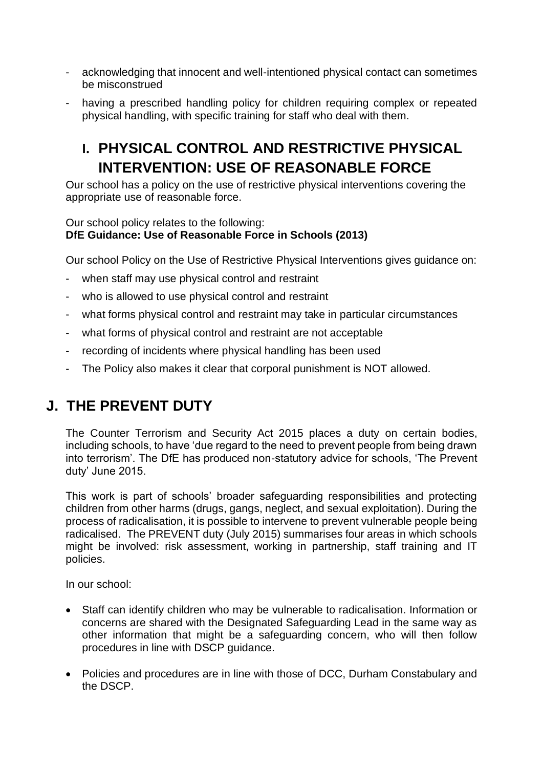- acknowledging that innocent and well-intentioned physical contact can sometimes be misconstrued
- having a prescribed handling policy for children requiring complex or repeated physical handling, with specific training for staff who deal with them.

# **I. PHYSICAL CONTROL AND RESTRICTIVE PHYSICAL INTERVENTION: USE OF REASONABLE FORCE**

Our school has a policy on the use of restrictive physical interventions covering the appropriate use of reasonable force.

#### Our school policy relates to the following: **DfE Guidance: Use of Reasonable Force in Schools (2013)**

Our school Policy on the Use of Restrictive Physical Interventions gives guidance on:

- when staff may use physical control and restraint
- who is allowed to use physical control and restraint
- what forms physical control and restraint may take in particular circumstances
- what forms of physical control and restraint are not acceptable
- recording of incidents where physical handling has been used
- The Policy also makes it clear that corporal punishment is NOT allowed.

# **J. THE PREVENT DUTY**

The Counter Terrorism and Security Act 2015 places a duty on certain bodies, including schools, to have 'due regard to the need to prevent people from being drawn into terrorism'. The DfE has produced non-statutory advice for schools, 'The Prevent duty' June 2015.

This work is part of schools' broader safeguarding responsibilities and protecting children from other harms (drugs, gangs, neglect, and sexual exploitation). During the process of radicalisation, it is possible to intervene to prevent vulnerable people being radicalised. The PREVENT duty (July 2015) summarises four areas in which schools might be involved: risk assessment, working in partnership, staff training and IT policies.

In our school:

- Staff can identify children who may be vulnerable to radicalisation. Information or concerns are shared with the Designated Safeguarding Lead in the same way as other information that might be a safeguarding concern, who will then follow procedures in line with DSCP guidance.
- Policies and procedures are in line with those of DCC, Durham Constabulary and the DSCP.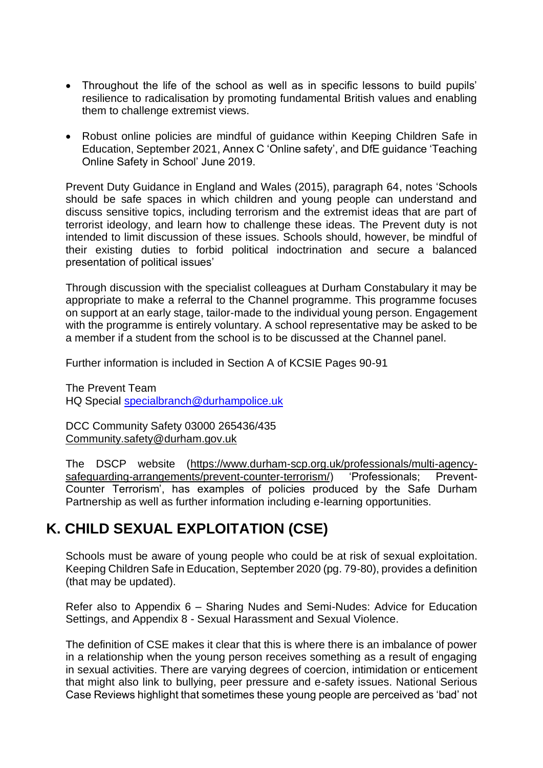- Throughout the life of the school as well as in specific lessons to build pupils' resilience to radicalisation by promoting fundamental British values and enabling them to challenge extremist views.
- Robust online policies are mindful of guidance within Keeping Children Safe in Education, September 2021, Annex C 'Online safety', and DfE guidance 'Teaching Online Safety in School' June 2019.

Prevent Duty Guidance in England and Wales (2015), paragraph 64, notes 'Schools should be safe spaces in which children and young people can understand and discuss sensitive topics, including terrorism and the extremist ideas that are part of terrorist ideology, and learn how to challenge these ideas. The Prevent duty is not intended to limit discussion of these issues. Schools should, however, be mindful of their existing duties to forbid political indoctrination and secure a balanced presentation of political issues'

Through discussion with the specialist colleagues at Durham Constabulary it may be appropriate to make a referral to the Channel programme. This programme focuses on support at an early stage, tailor-made to the individual young person. Engagement with the programme is entirely voluntary. A school representative may be asked to be a member if a student from the school is to be discussed at the Channel panel.

Further information is included in Section A of KCSIE Pages 90-91

The Prevent Team HQ Special [specialbranch@durhampolice.uk](mailto:specialbranch@durhampolice.uk)

DCC Community Safety 03000 265436/435 [Community.safety@durham.gov.uk](mailto:Community.safety@durham.gov.uk)

The DSCP website [\(https://www.durham-scp.org.uk/professionals/multi-agency](https://www.durham-scp.org.uk/professionals/multi-agency-safeguarding-arrangements/prevent-counter-terrorism/)[safeguarding-arrangements/prevent-counter-terrorism/\)](https://www.durham-scp.org.uk/professionals/multi-agency-safeguarding-arrangements/prevent-counter-terrorism/) 'Professionals; Prevent-Counter Terrorism', has examples of policies produced by the Safe Durham Partnership as well as further information including e-learning opportunities.

## **K. CHILD SEXUAL EXPLOITATION (CSE)**

Schools must be aware of young people who could be at risk of sexual exploitation. Keeping Children Safe in Education, September 2020 (pg. 79-80), provides a definition (that may be updated).

Refer also to Appendix 6 – Sharing Nudes and Semi-Nudes: Advice for Education Settings, and Appendix 8 - Sexual Harassment and Sexual Violence.

The definition of CSE makes it clear that this is where there is an imbalance of power in a relationship when the young person receives something as a result of engaging in sexual activities. There are varying degrees of coercion, intimidation or enticement that might also link to bullying, peer pressure and e-safety issues. National Serious Case Reviews highlight that sometimes these young people are perceived as 'bad' not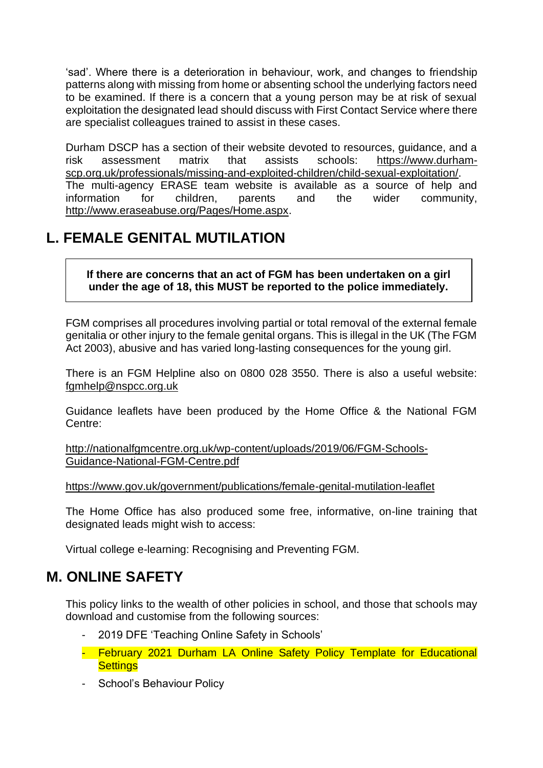'sad'. Where there is a deterioration in behaviour, work, and changes to friendship patterns along with missing from home or absenting school the underlying factors need to be examined. If there is a concern that a young person may be at risk of sexual exploitation the designated lead should discuss with First Contact Service where there are specialist colleagues trained to assist in these cases.

Durham DSCP has a section of their website devoted to resources, guidance, and a risk assessment matrix that assists schools: [https://www.durham](https://www.durham-scp.org.uk/professionals/missing-and-exploited-children/child-sexual-exploitation/)[scp.org.uk/professionals/missing-and-exploited-children/child-sexual-exploitation/.](https://www.durham-scp.org.uk/professionals/missing-and-exploited-children/child-sexual-exploitation/) The multi-agency ERASE team website is available as a source of help and information for children, parents and the wider community, [http://www.eraseabuse.org/Pages/Home.aspx.](http://www.eraseabuse.org/Pages/Home.aspx)

# **L. FEMALE GENITAL MUTILATION**

**If there are concerns that an act of FGM has been undertaken on a girl under the age of 18, this MUST be reported to the police immediately.**

FGM comprises all procedures involving partial or total removal of the external female genitalia or other injury to the female genital organs. This is illegal in the UK (The FGM Act 2003), abusive and has varied long-lasting consequences for the young girl.

There is an FGM Helpline also on 0800 028 3550. There is also a useful website: [fgmhelp@nspcc.org.uk](mailto:fgmhelp@nspcc.org.uk)

Guidance leaflets have been produced by the Home Office & the National FGM Centre:

[http://nationalfgmcentre.org.uk/wp-content/uploads/2019/06/FGM-Schools-](http://nationalfgmcentre.org.uk/wp-content/uploads/2019/06/FGM-Schools-Guidance-National-FGM-Centre.pdf)[Guidance-National-FGM-Centre.pdf](http://nationalfgmcentre.org.uk/wp-content/uploads/2019/06/FGM-Schools-Guidance-National-FGM-Centre.pdf)

[https://www.gov.uk/government/publications/female-genital-mutilation-leaflet](http://briefing.safeguardinginschools.co.uk/lt.php?s=c08dd3322ee433f9daa71867532506b1&i=73A99A5A617)

The Home Office has also produced some free, informative, on-line training that designated leads might wish to access:

Virtual college e-learning: Recognising and Preventing FGM.

# **M. ONLINE SAFETY**

This policy links to the wealth of other policies in school, and those that schools may download and customise from the following sources:

- 2019 DFE 'Teaching Online Safety in Schools'
- February 2021 Durham LA Online Safety Policy Template for Educational **Settings**
- School's Behaviour Policy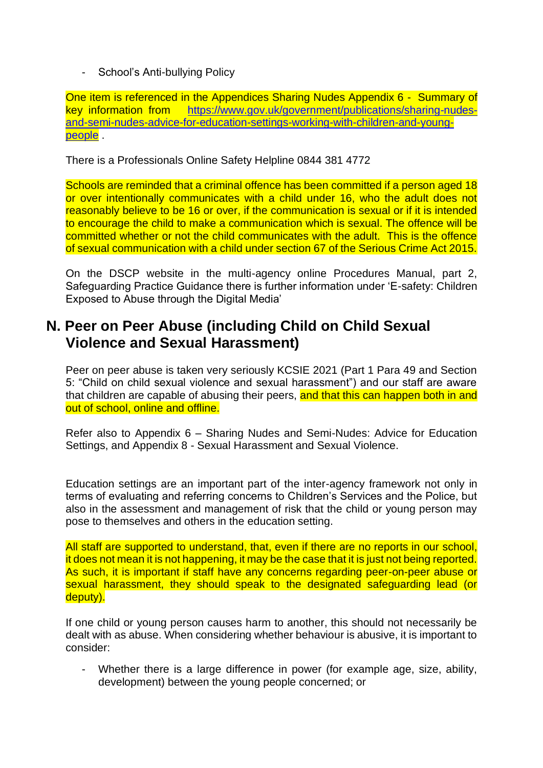- School's Anti-bullying Policy

One item is referenced in the Appendices Sharing Nudes Appendix 6 - Summary of key information from [https://www.gov.uk/government/publications/sharing-nudes](https://www.gov.uk/government/publications/sharing-nudes-and-semi-nudes-advice-for-education-settings-working-with-children-and-young-people)[and-semi-nudes-advice-for-education-settings-working-with-children-and-young](https://www.gov.uk/government/publications/sharing-nudes-and-semi-nudes-advice-for-education-settings-working-with-children-and-young-people)[people](https://www.gov.uk/government/publications/sharing-nudes-and-semi-nudes-advice-for-education-settings-working-with-children-and-young-people) .

There is a Professionals Online Safety Helpline 0844 381 4772

Schools are reminded that a criminal offence has been committed if a person aged 18 or over intentionally communicates with a child under 16, who the adult does not reasonably believe to be 16 or over, if the communication is sexual or if it is intended to encourage the child to make a communication which is sexual. The offence will be committed whether or not the child communicates with the adult. This is the offence of sexual communication with a child under section 67 of the Serious Crime Act 2015.

On the DSCP website in the multi-agency online Procedures Manual, part 2, Safeguarding Practice Guidance there is further information under 'E-safety: Children Exposed to Abuse through the Digital Media'

# **N. Peer on Peer Abuse (including Child on Child Sexual Violence and Sexual Harassment)**

Peer on peer abuse is taken very seriously KCSIE 2021 (Part 1 Para 49 and Section 5: "Child on child sexual violence and sexual harassment") and our staff are aware that children are capable of abusing their peers, and that this can happen both in and out of school, online and offline.

Refer also to Appendix 6 – Sharing Nudes and Semi-Nudes: Advice for Education Settings, and Appendix 8 - Sexual Harassment and Sexual Violence.

Education settings are an important part of the inter-agency framework not only in terms of evaluating and referring concerns to Children's Services and the Police, but also in the assessment and management of risk that the child or young person may pose to themselves and others in the education setting.

All staff are supported to understand, that, even if there are no reports in our school, it does not mean it is not happening, it may be the case that it is just not being reported. As such, it is important if staff have any concerns regarding peer-on-peer abuse or sexual harassment, they should speak to the designated safeguarding lead (or deputy).

If one child or young person causes harm to another, this should not necessarily be dealt with as abuse. When considering whether behaviour is abusive, it is important to consider:

Whether there is a large difference in power (for example age, size, ability, development) between the young people concerned; or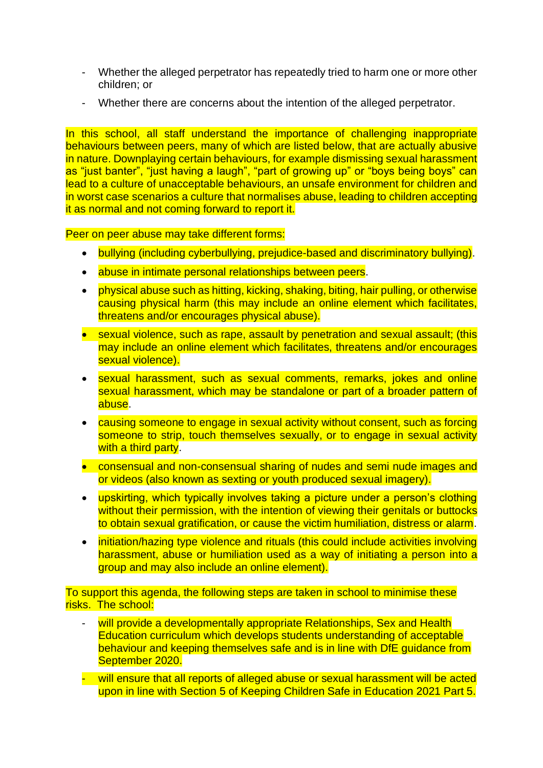- Whether the alleged perpetrator has repeatedly tried to harm one or more other children; or
- Whether there are concerns about the intention of the alleged perpetrator.

In this school, all staff understand the importance of challenging inappropriate behaviours between peers, many of which are listed below, that are actually abusive in nature. Downplaying certain behaviours, for example dismissing sexual harassment as "just banter", "just having a laugh", "part of growing up" or "boys being boys" can lead to a culture of unacceptable behaviours, an unsafe environment for children and in worst case scenarios a culture that normalises abuse, leading to children accepting it as normal and not coming forward to report it.

Peer on peer abuse may take different forms:

- bullying (including cyberbullying, prejudice-based and discriminatory bullying).
- abuse in intimate personal relationships between peers.
- physical abuse such as hitting, kicking, shaking, biting, hair pulling, or otherwise causing physical harm (this may include an online element which facilitates, threatens and/or encourages physical abuse).
- sexual violence, such as rape, assault by penetration and sexual assault; (this may include an online element which facilitates, threatens and/or encourages sexual violence).
- sexual harassment, such as sexual comments, remarks, jokes and online sexual harassment, which may be standalone or part of a broader pattern of abuse.
- causing someone to engage in sexual activity without consent, such as forcing someone to strip, touch themselves sexually, or to engage in sexual activity with a third party.
- consensual and non-consensual sharing of nudes and semi nude images and or videos (also known as sexting or youth produced sexual imagery).
- upskirting, which typically involves taking a picture under a person's clothing without their permission, with the intention of viewing their genitals or buttocks to obtain sexual gratification, or cause the victim humiliation, distress or alarm.
- initiation/hazing type violence and rituals (this could include activities involving harassment, abuse or humiliation used as a way of initiating a person into a group and may also include an online element).

To support this agenda, the following steps are taken in school to minimise these risks. The school:

- will provide a developmentally appropriate Relationships, Sex and Health Education curriculum which develops students understanding of acceptable behaviour and keeping themselves safe and is in line with DfE guidance from September 2020.
- will ensure that all reports of alleged abuse or sexual harassment will be acted upon in line with Section 5 of Keeping Children Safe in Education 2021 Part 5.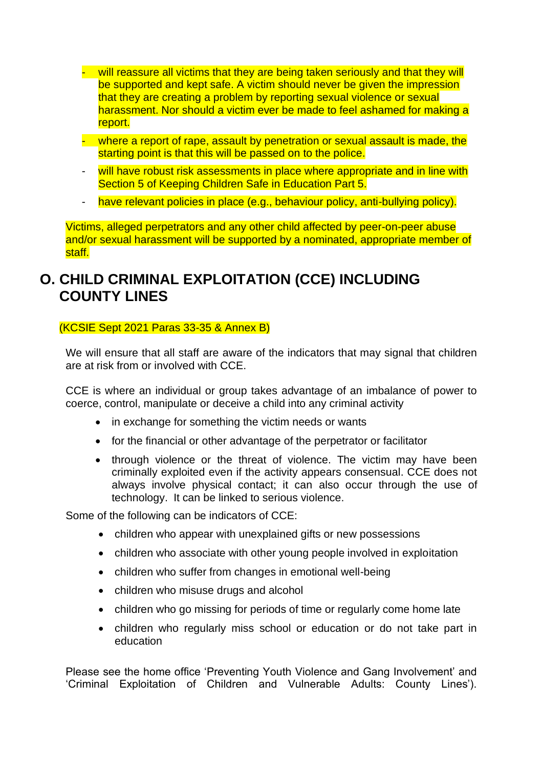- will reassure all victims that they are being taken seriously and that they will be supported and kept safe. A victim should never be given the impression that they are creating a problem by reporting sexual violence or sexual harassment. Nor should a victim ever be made to feel ashamed for making a report.
- where a report of rape, assault by penetration or sexual assault is made, the starting point is that this will be passed on to the police.
- will have robust risk assessments in place where appropriate and in line with Section 5 of Keeping Children Safe in Education Part 5.
- have relevant policies in place (e.g., behaviour policy, anti-bullying policy).

Victims, alleged perpetrators and any other child affected by peer-on-peer abuse and/or sexual harassment will be supported by a nominated, appropriate member of staff.

# **O. CHILD CRIMINAL EXPLOITATION (CCE) INCLUDING COUNTY LINES**

(KCSIE Sept 2021 Paras 33-35 & Annex B)

We will ensure that all staff are aware of the indicators that may signal that children are at risk from or involved with CCE.

CCE is where an individual or group takes advantage of an imbalance of power to coerce, control, manipulate or deceive a child into any criminal activity

- in exchange for something the victim needs or wants
- for the financial or other advantage of the perpetrator or facilitator
- through violence or the threat of violence. The victim may have been criminally exploited even if the activity appears consensual. CCE does not always involve physical contact; it can also occur through the use of technology. It can be linked to serious violence.

Some of the following can be indicators of CCE:

- children who appear with unexplained gifts or new possessions
- children who associate with other young people involved in exploitation
- children who suffer from changes in emotional well-being
- children who misuse drugs and alcohol
- children who go missing for periods of time or regularly come home late
- children who regularly miss school or education or do not take part in education

Please see the home office 'Preventing Youth Violence and Gang Involvement' and 'Criminal Exploitation of Children and Vulnerable Adults: County Lines').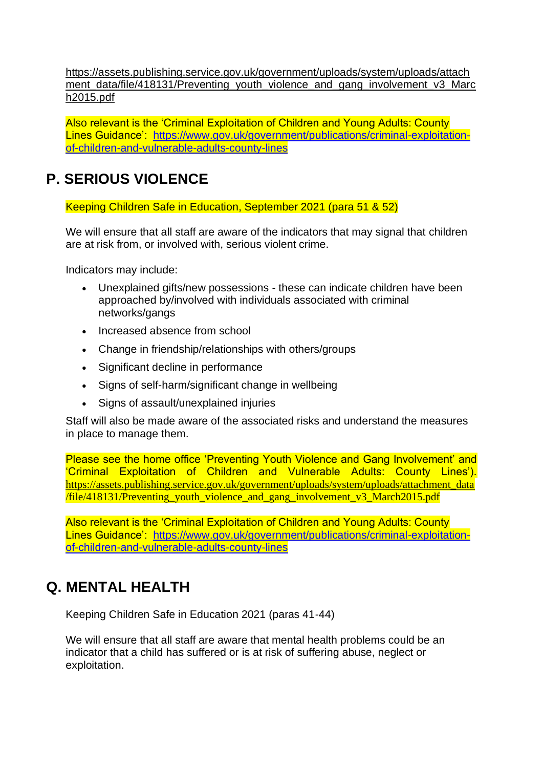[https://assets.publishing.service.gov.uk/government/uploads/system/uploads/attach](https://assets.publishing.service.gov.uk/government/uploads/system/uploads/attachment_data/file/418131/Preventing_youth_violence_and_gang_involvement_v3_March2015.pdf) [ment\\_data/file/418131/Preventing\\_youth\\_violence\\_and\\_gang\\_involvement\\_v3\\_Marc](https://assets.publishing.service.gov.uk/government/uploads/system/uploads/attachment_data/file/418131/Preventing_youth_violence_and_gang_involvement_v3_March2015.pdf) [h2015.pdf](https://assets.publishing.service.gov.uk/government/uploads/system/uploads/attachment_data/file/418131/Preventing_youth_violence_and_gang_involvement_v3_March2015.pdf)

Also relevant is the 'Criminal Exploitation of Children and Young Adults: County Lines Guidance': [https://www.gov.uk/government/publications/criminal-exploitation](https://www.gov.uk/government/publications/criminal-exploitation-of-children-and-vulnerable-adults-county-lines)[of-children-and-vulnerable-adults-county-lines](https://www.gov.uk/government/publications/criminal-exploitation-of-children-and-vulnerable-adults-county-lines)

# **P. SERIOUS VIOLENCE**

Keeping Children Safe in Education, September 2021 (para 51 & 52)

We will ensure that all staff are aware of the indicators that may signal that children are at risk from, or involved with, serious violent crime.

Indicators may include:

- Unexplained gifts/new possessions these can indicate children have been approached by/involved with individuals associated with criminal networks/gangs
- Increased absence from school
- Change in friendship/relationships with others/groups
- Significant decline in performance
- Signs of self-harm/significant change in wellbeing
- Signs of assault/unexplained injuries

Staff will also be made aware of the associated risks and understand the measures in place to manage them.

Please see the home office 'Preventing Youth Violence and Gang Involvement' and 'Criminal Exploitation of Children and Vulnerable Adults: County Lines'). [https://assets.publishing.service.gov.uk/government/uploads/system/uploads/attachment\\_data](https://assets.publishing.service.gov.uk/government/uploads/system/uploads/attachment_data/file/418131/Preventing_youth_violence_and_gang_involvement_v3_March2015.pdf) [/file/418131/Preventing\\_youth\\_violence\\_and\\_gang\\_involvement\\_v3\\_March2015.pdf](https://assets.publishing.service.gov.uk/government/uploads/system/uploads/attachment_data/file/418131/Preventing_youth_violence_and_gang_involvement_v3_March2015.pdf)

Also relevant is the 'Criminal Exploitation of Children and Young Adults: County Lines Guidance': [https://www.gov.uk/government/publications/criminal-exploitation](https://www.gov.uk/government/publications/criminal-exploitation-of-children-and-vulnerable-adults-county-lines)[of-children-and-vulnerable-adults-county-lines](https://www.gov.uk/government/publications/criminal-exploitation-of-children-and-vulnerable-adults-county-lines)

# **Q. MENTAL HEALTH**

Keeping Children Safe in Education 2021 (paras 41-44)

We will ensure that all staff are aware that mental health problems could be an indicator that a child has suffered or is at risk of suffering abuse, neglect or exploitation.